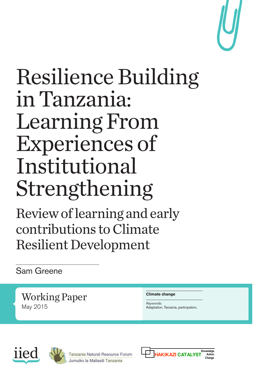

## Resilience Building in Tanzania: Learning From Experiences of Institutional Strengthening

Review of learning and early contributions to Climate Resilient Development

Sam Greene

Working Paper May 2015

#### **Climate change**

*Keywords:* Adaptation, Tanzania, participation,





Tanzania Natural Resource Forum Jumuiko la Maliasili Tanzania

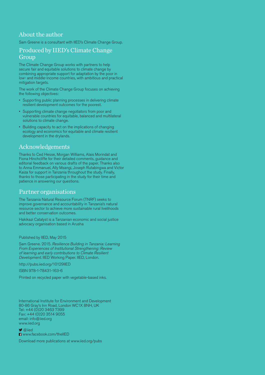#### About the author

Sam Greene is a consultant with IIED's Climate Change Group.

#### Produced by IIED's Climate Change **Group**

The Climate Change Group works with partners to help secure fair and equitable solutions to climate change by combining appropriate support for adaptation by the poor in low- and middle-income countries, with ambitious and practical mitigation targets.

The work of the Climate Change Group focuses on achieving the following objectives:

- Supporting public planning processes in delivering climate resilient development outcomes for the poorest.
- Supporting climate change negotiators from poor and vulnerable countries for equitable, balanced and multilateral solutions to climate change.
- Building capacity to act on the implications of changing ecology and economics for equitable and climate resilient development in the drylands.

#### Acknowledgements

Thanks to Ced Hesse, Morgan Williams, Alais Morindat and Fiona Hinchcliffe for their detailed comments, guidance and editorial feedback on various drafts of the paper. Thanks also to Anna Emmanuel, Ally Msangi, Joseph Rutabingwa and Victor Kaiza for support in Tanzania throughout the study. Finally, thanks to those participating in the study for their time and patience in answering our questions.

#### Partner organisations

The Tanzania Natural Resource Forum (TNRF) seeks to improve governance and accountability in Tanzania's natural resource sector to achieve more sustainable rural livelihoods and better conservation outcomes.

Hakikazi Catalyst is a Tanzanian economic and social justice advocacy organisation based in Arusha

Published by IIED, May 2015

Sam Greene. 2015. Resilience Building in Tanzania: Learning From Experiences of Institutional Strengthening: Review of learning and early contributions to Climate Resilient Development. IIED Working Paper. IIED, London.

[http://pubs.iied.org/1](http://pubs.iied.org/16574IIED)0129IIED

ISBN 978-1-78431-163-6

Printed on recycled paper with vegetable-based inks.

International Institute for Environment and Development 80-86 Gray's Inn Road, London WC1X 8NH, UK Tel: +44 (0)20 3463 7399 Fax: +44 (0)20 3514 9055 email: [info@iied.org](mailto:info@iied.org) [www.iied.org](http://www.iied.org)

 $\bigcirc$  @iied [www.facebook.com/theIIED](http://www.facebook.com/theIIED)

Download more publications at [www.iied.org/pubs](http://www.iied.org/pubs)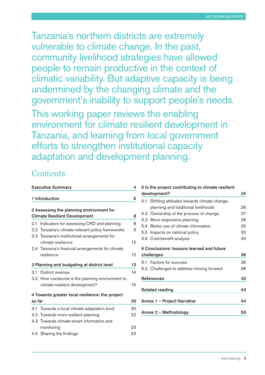Tanzania's northern districts are extremely vulnerable to climate change. In the past, community livelihood strategies have allowed people to remain productive in the context of climatic variability. But adaptive capacity is being undermined by the changing climate and the government's inability to support people's needs.

This working paper reviews the enabling environment for climate resilient development in Tanzania, and learning from local government efforts to strengthen institutional capacity adaptation and development planning.

#### **Contents**

|                                                 | <b>Executive Summary</b>                          | 4  |  |
|-------------------------------------------------|---------------------------------------------------|----|--|
|                                                 | 1 Introduction                                    | 6  |  |
|                                                 | 2 Assessing the planning environment for          |    |  |
|                                                 | <b>Climate Resilient Development</b>              | 8  |  |
| 2.1                                             | Indicators for assessing CRD and planning         | 8  |  |
|                                                 | 2.2 Tanzania's climate-relevant policy frameworks | 9  |  |
|                                                 | 2.3 Tanzania's institutional arrangements for     |    |  |
|                                                 | climate resilience                                | 12 |  |
|                                                 | 2.4 Tanzania's financial arrangements for climate |    |  |
|                                                 | resilience                                        | 12 |  |
|                                                 | 3 Planning and budgeting at district level        | 13 |  |
| 3.1                                             | District revenue                                  | 14 |  |
|                                                 | 3.2 How conducive is the planning environment to  |    |  |
|                                                 | climate-resilient development?                    | 15 |  |
| 4 Towards greater local resilience: the project |                                                   |    |  |
| so far                                          |                                                   | 20 |  |
| 4.1                                             | Towards a local climate adaptation fund           | 20 |  |
|                                                 | 4.2 Towards more resilient planning               | 22 |  |
|                                                 | 4.3 Towards climate-smart information and         |    |  |
|                                                 | monitoring                                        | 23 |  |
|                                                 | 4.4 Sharing the findings                          | 23 |  |
|                                                 |                                                   |    |  |

|     | 5 Is the project contributing to climate resilient<br>development? | 24             |
|-----|--------------------------------------------------------------------|----------------|
|     | 5.1 Shifting attitudes towards climate change,                     |                |
|     | planning and traditional livelihoods                               | 26             |
|     | 5.2 Ownership of the process of change                             | 27             |
|     | 5.3 More responsive planning                                       | 28             |
| 5.4 | Better use of climate information                                  | 32             |
|     | 5.5 Impacts on national policy                                     | 33             |
|     | 5.6 Cost-benefit analysis                                          | 34             |
|     | 6 Conclusions: lessons learned and future                          |                |
|     | challenges                                                         |                |
| 6.1 | Factors for success                                                |                |
|     | 6.2 Challenges to address moving forward                           | 36<br>36<br>38 |
|     | <b>References</b>                                                  |                |
|     | <b>Related reading</b>                                             | 42<br>43       |
|     | Annex 1 - Project Narrative                                        | 44             |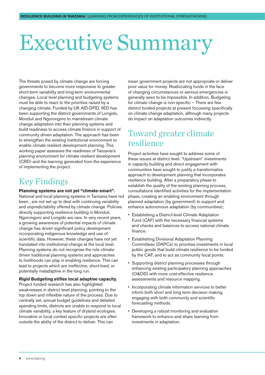## <span id="page-3-0"></span>Executive Summary

The threats posed by climate change are forcing governments to become more responsive to greater short-term variability and long-term environmental changes. Local level planning and budgeting systems must be able to react to the priorities raised by a changing climate. Funded by UK AID-DFID, IIED has been supporting the district governments of Longido, Monduli and Ngorongoro to mainstream climate change adaptation into their planning systems and build readiness to access climate finance in support of community driven adaptation. The approach has been to strengthen the existing institutional environment to enable climate resilient development planning. This working paper assesses the readiness of Tanzania's planning environment for climate resilient development (CRD) and the learning generated from the experience of implementing the project.

#### Key Findings

#### **Planning systems are not yet "climate-smart".**

National and local planning systems in Tanzania have not been , are not set up to deal with continuing variability and unpredictability offered by climate change. Policies directly supporting resilience building in Monduli, Ngorongoro and Longido are rare. In very recent years, a growing awareness of potential impacts of climate change has driven significant policy development incorporating indigenous knowledge and use of scientific data. However, these changes have not yet translated into institutional change at the local level. Planning systems do not recognise the role climatedriven traditional planning systems and approaches to livelihoods can play in enabling resilience. This can lead to projects which are ineffective, short-lived, or potentially maladaptive in the long run.

#### **Rigid Budgeting stifles local adaptive capacity.**

Project funded research has also highlighted weaknesses in district level planning, pointing to the top down and inflexible nature of the process. Due to centrally set, annual budget guidelines and detailed spending limits, districts are unable to respond to local climate variability, a key feature of dryland ecologies. Innovative or local context specific projects are often outside the ability of the district to deliver. This can

mean government projects are not appropriate or deliver poor value for money. Reallocating funds in the face of changing circumstances or serious emergencies is generally seen to be impossible. In addition, Budgeting for climate change is non-specific – There are few district funded projects at present focussing specifically on climate change adaptation, although many projects do impact on adaptation outcomes indirectly.

#### Toward greater climate resilience

Project activities have sought to address some of these issues at district level. "Upstream" investments in capacity building and direct engagement with communities have sought to justify a transformative approach to development planning that incorporates resilience building. After a preparatory phase to establish the quality of the existing planning process, consultations identified activities for the implementation phase, creating an enabling environment through planned adaptation (by government) to support and enhance autonomous adaptation (by communities);

- Establishing a District-level Climate Adaptation Fund (CAF) with the necessary financial systems and checks and balances to access national climate finance.
- Establishing Divisional Adaptation Planning Committees (DAPCs) to prioritise investments in local public goods that build climate resilience to be funded by the CAF, and to act as community focal points.
- Supporting district planning processes through enhancing existing participatory planning approaches (O&OD) with more cost-effective resilience assessments and resource mapping.
- Incorporating climate information services to better inform both short and long term decision making, engaging with both community and scientific forecasting methods.
- Developing a robust monitoring and evaluation framework to enhance and share learning from investments in adaptation.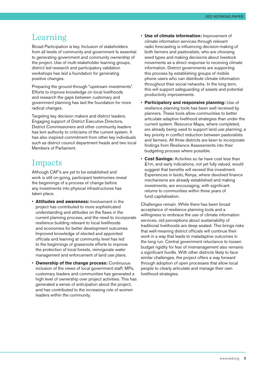#### Learning

Broad Participation is key. Inclusion of stakeholders from all levels of community and government Is essential to generating government and community ownership of the project. Use of multi-stakeholder learning groups, district led research and participatory validation workshops has laid a foundation for generating positive changes.

Preparing the ground through "upstream investments". Efforts to improve knowledge on local livelihoods and research the gaps between customary and government planning has laid the foundation for more radical changes.

Targeting key decision makers and district leaders. Engaging support of District Executive Directors, District Commissioners and other community leaders has lent authority to criticisms of the current system. It has also inspired commitment from other key individuals such as district council department heads and two local Members of Parliament.

#### Impacts

Although CAF's are yet to be established and work is still on-going, participant testimonies reveal the beginnings of a process of change before any investments into physical infrastructures has taken place.

- **Attitudes and awareness:** Involvement in the project has contributed to more sophisticated understanding and attitudes on the flaws in the current planning process, and the need to incorporate resilience building relevant to local livelihoods and economies for better development outcomes. Improved knowledge of elected and appointed officials and learning at community level has led to the beginnings of grassroots efforts to improve the protection of local forests, reinvigorate water management and enforcement of land use plans.
- **Ownership of the change process:** Continuous inclusion of the views of local government staff, MPs, customary leaders and communities has generated a high level of ownership over project activities. This has generated a sense of anticipation about the project, and has contributed to the increasing role of women leaders within the community.
- **Use of climate information:** Improvement of climate information services through relevant radio forecasting is influencing decision-making of both farmers and pastoralists, who are choosing seed types and making decisions about livestock movements as a direct response to receiving climate information. District governments are supporting this process by establishing groups of mobile phone users who can distribute climate information throughout their social networks. In the long term, this will support safeguarding of assets and potential productivity improvements.
- **Participatory and responsive planning:** Use of resilience planning tools has been well received by planners. These tools allow communities to better articulate adaptive livelihood strategies than under the current system. Resource Maps, where completed, are already being used to support land use planning, a key priority in conflict reduction between pastoralists and farmers. All three districts are keen to incorporate findings from Resilience Assessments into their budgeting process where possible.
- **Cost Savings:** Activities so far have cost less than £1m, and early indications, not yet fully valued, would suggest that benefits will exceed this investment. Experiences in Isiolo, Kenya, where devolved finance mechanisms are already established and making investments, are encouraging, with significant returns to communities within three years of fund capitalisation.

Challenges remain. While there has been broad acceptance of resilience planning tools and a willingness to embrace the use of climate information services, old perceptions about sustainability of traditional livelihoods are deep seated. This brings risks that well-meaning district officials will continue their work in a way that leads to maladaptive outcomes in the long run. Central government reluctance to loosen budget rigidity for fear of mismanagement also remains a significant hurdle. With other districts likely to face similar challenges, the project offers a way forward through adoption of open processes that allow local people to clearly articulate and manage their own livelihood strategies.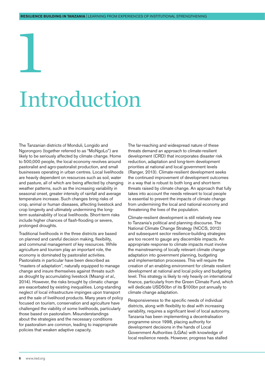## <span id="page-5-0"></span>1 Introduction

The Tanzanian districts of Monduli, Longido and Ngorongoro (together referred to as "MoNgoLo") are likely to be seriously affected by climate change. Home to 500,000 people, the local economy revolves around pastoralist and agro-pastoralist production, and small businesses operating in urban centres. Local livelihoods are heavily dependent on resources such as soil, water and pasture, all of which are being affected by changing weather patterns, such as the increasing variability in seasonal onset, greater intensity of rainfall and average temperature increase. Such changes bring risks of crop, animal or human diseases, affecting livestock and crop longevity and ultimately undermining the longterm sustainability of local livelihoods. Short-term risks include higher chances of flash-flooding or severe, prolonged droughts.

Traditional livelihoods in the three districts are based on planned and careful decision making, flexibility, and communal management of key resources. While agriculture and tourism play an important role, the economy is dominated by pastoralist activities. Pastoralists in particular have been described as "masters of adaptation", naturally equipped to manage change and insure themselves against threats such as drought by accumulating livestock (Msangi *et al*., 2014). However, the risks brought by climatic change are exacerbated by existing inequalities. Long-standing neglect of local infrastructure impinges upon transport and the sale of livelihood products. Many years of policy focused on tourism, conservation and agriculture have challenged the viability of some livelihoods, particularly those based on pastoralism. Misunderstandings about the strategies and the necessary conditions for pastoralism are common, leading to inappropriate policies that weaken adaptive capacity.

The far-reaching and widespread nature of these threats demand an approach to climate-resilient development (CRD) that incorporates disaster risk reduction, adaptation and long-term development priorities at national and local government levels (Ranger, 2013). Climate-resilient development seeks the continued improvement of development outcomes in a way that is robust to both long and short-term threats raised by climate change. An approach that fully takes into account the needs relevant to local people is essential to prevent the impacts of climate change from undermining the local and national economy and threatening the lives of the population.

Climate-resilient development is still relatively new to Tanzania's political and planning discourse. The National Climate Change Strategy (NCCS, 2012) and subsequent sector resilience-building strategies are too recent to gauge any discernible impacts. An appropriate response to climate impacts must involve the mainstreaming of locally relevant climate change adaptation into government planning, budgeting and implementation processes. This will require the creation of an enabling environment for climate resilient development at national and local policy and budgeting level. This strategy is likely to rely heavily on international finance, particularly from the Green Climate Fund, which will dedicate USD50bn of its \$100bn pot annually to climate change adaptation.

Responsiveness to the specific needs of individual districts, along with flexibility to deal with increasing variability, requires a significant level of local autonomy. Tanzania has been implementing a decentralisation programme since 1998, placing authority for development decisions in the hands of Local Government Authorities (LGAs) with knowledge of local resilience needs. However, progress has stalled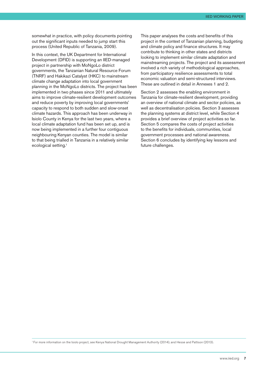IIED Working paper

somewhat in practice, with policy documents pointing out the significant inputs needed to jump start this process (United Republic of Tanzania, 2009).

In this context, the UK Department for International Development (DFID) is supporting an IIED-managed project in partnership with MoNgoLo district governments, the Tanzanian Natural Resource Forum (TNRF) and Hakikazi Catalyst (HKC) to mainstream climate change adaptation into local government planning in the MoNgoLo districts. The project has been implemented in two phases since 2011 and ultimately aims to improve climate-resilient development outcomes and reduce poverty by improving local governments' capacity to respond to both sudden and slow-onset climate hazards. This approach has been underway in Isiolo County in Kenya for the last two years, where a local climate adaptation fund has been set up, and is now being implemented in a further four contiguous neighbouring Kenyan counties. The model is similar to that being trialled in Tanzania in a relatively similar ecological setting.1

This paper analyses the costs and benefits of this project in the context of Tanzanian planning, budgeting and climate policy and finance structures. It may contribute to thinking in other states and districts looking to implement similar climate adaptation and mainstreaming projects. The project and its assessment involved a rich variety of methodological approaches, from participatory resilience assessments to total economic valuation and semi-structured interviews. These are outlined in detail in Annexes 1 and 2.

Section 2 assesses the enabling environment in Tanzania for climate-resilient development, providing an overview of national climate and sector policies, as well as decentralisation policies. Section 3 assesses the planning systems at district level, while Section 4 provides a brief overview of project activities so far. Section 5 compares the costs of project activities to the benefits for individuals, communities, local government processes and national awareness. Section 6 concludes by identifying key lessons and future challenges.

1 For more information on the Isiolo project, see Kenya National Drought Management Authority (2014); and Hesse and Pattison (2013).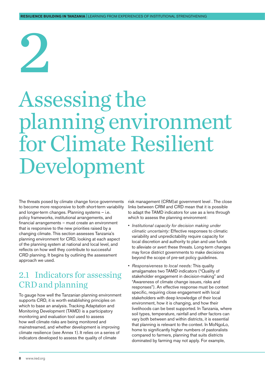## <span id="page-7-0"></span>2

### Assessing the planning environment for Climate Resilient Development

The threats posed by climate change force governments to become more responsive to both short-term variability and longer-term changes. Planning systems – i.e. policy frameworks, institutional arrangements, and financial arrangements – must create an environment that is responsive to the new priorities raised by a changing climate. This section assesses Tanzania's planning environment for CRD, looking at each aspect of the planning system at national and local level, and reflects on how well they contribute to successful CRD planning. It begins by outlining the assessment approach we used.

#### 2.1 Indicators for assessing CRD and planning

To gauge how well the Tanzanian planning environment supports CRD, it is worth establishing principles on which to base an analysis. Tracking Adaptation and Monitoring Development (TAMD) is a participatory monitoring and evaluation tool used to assess how well climate risks are being monitored and mainstreamed, and whether development is improving climate resilience (see Annex 1). It relies on a series of indicators developed to assess the quality of climate

risk management (CRM)at government level . The close links between CRM and CRD mean that it is possible to adapt the TAMD indicators for use as a lens through which to assess the planning environment:

- *Institutional capacity for decision making under climatic uncertainty:* Effective responses to climatic variability and unpredictability require capacity for local discretion and authority to plan and use funds to alleviate or avert these threats. Long-term changes may force district governments to make decisions beyond the scope of pre-set policy guidelines.
- *Responsiveness to local needs:* This quality amalgamates two TAMD indicators ("Quality of stakeholder engagement in decision-making" and "Awareness of climate change issues, risks and responses"). An effective response must be context specific, requiring close engagement with local stakeholders with deep knowledge of their local environment, how it is changing, and how their livelihoods can be best supported. In Tanzania, where soil types, temperature, rainfall and other factors can vary both between and within districts, it is essential that planning is relevant to the context. In MoNgoLo, home to significantly higher numbers of pastoralists compared to farmers, planning that suits districts dominated by farming may not apply. For example,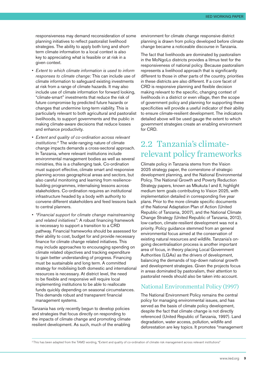<span id="page-8-0"></span>responsiveness may demand reconsideration of some planning initiatives to reflect pastoralist livelihood strategies. The ability to apply both long and shortterm climate information to a local context is also key to appreciating what is feasible or at risk in a given context.

- *Extent to which climate information is used to inform responses to climate change:* This can include use of climate information to safeguard existing investments at risk from a range of climate hazards. It may also include use of climate information for forward looking, "climate-smart" investments that reduce the risk of future compromise by predicted future hazards or changes that undermine long-term viability. This is particularly relevant to both agricultural and pastoralist livelihoods, to support governments and the public in making climate-aware decisions that reduce losses and enhance productivity.
- *Extent and quality of co-ordination across relevant institutions:*<sup>2</sup> The wide-ranging nature of climate change impacts demands a cross-sectoral approach. In Tanzania, where relevant institutions include environmental management bodies as well as several ministries, this is a challenging task. Co-ordination must support effective, climate smart and responsive planning across geographical areas and sectors, but also careful monitoring and learning from resiliencebuilding programmes, internalising lessons across stakeholders. Co-ordination requires an institutional infrastructure headed by a body with authority to convene different stakeholders and feed lessons back to central planners.
- *"Financial support for climate change mainstreaming and related initiatives":* A robust financing framework is necessary to support a transition to a CRD pathway. Financial frameworks should be assessed for their ability to cost, budget for and provide necessary finance for climate change related initiatives. This may include approaches to encouraging spending on climate related objectives and tracking expenditure to gain better understanding of progress. Financing must be sustainable and long term. A committed strategy for mobilising both domestic and international resources is necessary. At district level, the need to be flexible and responsive will require local implementing institutions to be able to reallocate funds quickly depending on seasonal circumstances. This demands robust and transparent financial management systems.

Tanzania has only recently begun to develop policies and strategies that focus directly on responding to the impacts of climate change and promoting climate resilient development. As such, much of the enabling environment for climate change responsive district planning is drawn from policy developed before climate change became a noticeable discourse in Tanzania.

The fact that livelihoods are dominated by pastoralism in the MoNgoLo districts provides a litmus test for the responsiveness of national policy. Because pastoralism represents a livelihood approach that is significantly different to those in other parts of the country, priorities in these districts are also different. If a core facet of CRD is responsive planning and flexible decision making relevant to the specific, changing context of livelihoods in a district or even village, then the scope of government policy and planning for supporting these specificities will provide a useful indicator of their ability to ensure climate-resilient development. The indicators detailed above will be used gauge the extent to which government strategies create an enabling environment for CRD.

#### 2.2 Tanzania's climaterelevant policy frameworks

Climate policy in Tanzania stems from the Vision 2025 strategy paper, the cornerstone of strategic development planning, and the National Environmental Policy. The National Growth and Poverty Reduction Strategy papers, known as Mkukuta I and II, highlight medium term goals contributing to Vision 2025, with implementation detailed in corresponding five year plans. Prior to the more climate specific documents of the National Adaptation Plan of Action (United Republic of Tanzania, 2007), and the National Climate Change Strategy (United Republic of Tanzania, 2012), low-carbon, climate-resilient development was not a priority. Policy guidance stemmed from an general environmental focus aimed at the conservation of existing natural resources and wildlife. Tanzania's ongoing decentralisation process is another important area of focus, in theory placing Local Government Authorities (LGAs) as the drivers of development, balancing the demands of top-down national growth and development strategies. Given the projects focus in areas dominated by pastoralism, their attention to pastoralist needs should also be taken into account.

#### National Environmental Policy (1997)

The National Environment Policy remains the central policy for managing environmental issues, and has served as the basis of climate policy development, despite the fact that climate change is not directly referenced (United Republic of Tanzania, 1997). Land degradation, water access, pollution, wildlife and deforestation are key topics. It promotes "management

<sup>&</sup>lt;sup>2</sup>This has been adapted from the TAMD wording, "Extent and quality of co-ordination of climate risk management across relevant institutions"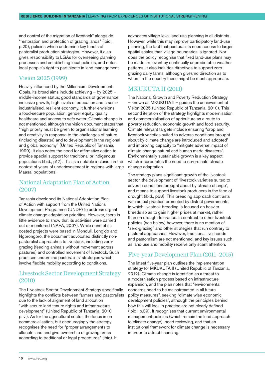and control of the migration of livestock" alongside "restoration and protection of grazing lands" (ibid., p.20), policies which undermine key tenets of pastoralist production strategies. However, it also gives responsibility to LGAs for overseeing planning processes and establishing local policies, and notes local people's right to participate in land management.

#### Vision 2025 (1999)

Heavily influenced by the Millennium Development Goals, its broad aims include achieving – by 2025 – middle-income status, good standards of governance, inclusive growth, high levels of education and a semiindustrialised, resilient economy. It further envisions a food-secure population, gender equity, quality healthcare and access to safe water. Climate change is not mentioned, although the vision document states that "high priority must be given to organisational learning and creativity in response to the challenges of nature (including disaster) and to development in the regional and global economy" (United Republic of Tanzania, 1999). It also notes the need for affirmative action to provide special support for traditional or indigenous populations (ibid., p17). This is a notable inclusion in the context of years of underinvestment in regions with large Maasai populations.

#### National Adaptation Plan of Action (2007)

Tanzania developed its National Adaptation Plan of Action with support from the United Nations Development Programme (UNDP) to address urgent climate change adaptation priorities. However, there is little evidence to show that its activities were carried out or monitored (NAPA, 2007). While none of its costed projects were based in Monduli, Longido and Ngorongoro, the document advocated distinctly nonpastoralist approaches to livestock, including zerograzing (feeding animals without movement across pastures) and controlled movement of livestock. Such practices undermine pastoralists' strategies which involve flexible mobility according to conditions.

#### Livestock Sector Development Strategy (2010)

The Livestock Sector Development Strategy specifically highlights the conflicts between farmers and pastoralists due to the lack of alignment of land allocation "with secure land tenure rights and infrastructure development" (United Republic of Tanzania, 2010 p. vi). As for the agricultural sector, the focus is on commercialisation, but encouragingly the strategy recognises the need for "proper arrangements to allocate land and give ownership of grazing areas according to traditional or legal procedures" (ibid). It

advocates village-level land-use planning in all districts. However, while this may improve participatory land-use planning, the fact that pastoralists need access to larger spatial scales than village boundaries is ignored. Nor does the policy recognise that fixed land-use plans may be made irrelevant by continually unpredictable weather patterns. It also includes directives to support zerograzing dairy farms, although gives no direction as to where in the country these might be most appropriate.

#### MKUKUTA II (2011)

The National Growth and Poverty Reduction Strategy – known as MKUKUTA II – guides the achievement of Vision 2025 (United Republic of Tanzania, 2010). This second iteration of the strategy highlights modernisation and commercialisation of agriculture as a route to poverty reduction, economic growth and food security. Climate relevant targets include ensuring "crop and livestock varieties suited to adverse conditions brought about by climate change are introduced and adopted" and improving capacity to "mitigate adverse impact of climate change natural and human made disasters". Environmentally sustainable growth is a key aspect which incorporates the need to co-ordinate climate change adaptation.

The strategy plans significant growth of the livestock sector, the development of "livestock varieties suited to adverse conditions brought about by climate change", and means to support livestock producers in the face of drought (ibid., p58). This breeding approach contrasts with actual practice promoted by district governments, in which livestock breeding is focused on heavier breeds so as to gain higher prices at market, rather than on drought tolerance. In contrast to other livestock policies (see below) however, there is no mention of "zero-grazing" and other strategies that run contrary to pastoral approaches. However, traditional livelihoods and pastoralism are not mentioned, and key issues such as land use and mobility receive only scant attention.

#### Five-year Development Plan (2011–2015)

The latest five-year plan outlines the implementation strategy for MKUKUTA II (United Republic of Tanzania, 2012). Climate change is identified as a threat to a modernisation process based on infrastructure expansion, and the plan notes that "environmental concerns need to be mainstreamed in all future policy measures", seeking "climate wise economic development policies", although the principles behind how this will look in practice are not clearly defined (ibid., p.39). It recognises that current environmental management policies (which remain the lead approach to climate change), need reviewing, and that an institutional framework for climate change is necessary in order to attract financing.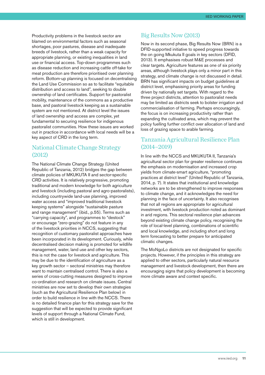Productivity problems in the livestock sector are blamed on environmental factors such as seasonal shortages, poor pastures, disease and inadequate breeds of livestock, rather than a weak capacity for appropriate planning, or existing inequalities in land use or financial access. Top-down programmes such as disease reduction and increasing cattle off-take for meat production are therefore prioritised over planning reform. Bottom-up planning is focused on decentralising the Land Use Commission so as to facilitate "equitable distribution and access to land", seeking to double ownership of land certificates. Support for pastoralist mobility, maintenance of the commons as a productive base, and pastoral livestock keeping as a sustainable system are not mentioned. At district level the issues of land ownership and access are complex, yet fundamental to securing resilience for indigenous pastoralist communities. How these issues are worked out in practice in accordance with local needs will be a key aspect of CRD in the long term.

#### National Climate Change Strategy (2012)

The National Climate Change Strategy (United Republic of Tanzania, 2012) bridges the gap between climate policies of MKUKUTA II and sector-specific CRD activities. It is relatively progressive, promoting traditional and modern knowledge for both agriculture and livestock (including pastoral and agro-pastoralists), including countrywide land-use planning, improved water access and "improved traditional livestock keeping systems" alongside "sustainable pasture and range management" (ibid., p.55). Terms such as "carrying capacity", and programmes to "destock" or encourage "zero-grazing" do not feature in any of the livestock priorities in NCCS, suggesting that recognition of customary pastoralist approaches have been incorporated in its development. Curiously, while decentralised decision making is promoted for wildlife management, water, land use and other key sectors, this is not the case for livestock and agriculture. This may be due to the identification of agriculture as a key growth sector – sectoral ministries may therefore want to maintain centralised control. There is also a series of cross-cutting measures designed to improve co-ordination and research on climate issues. Central ministries are now set to develop their own strategies (such as the Agricultural Resilience Plan below) in order to build resilience in line with the NCCS. There is no detailed finance plan for this strategy save for the suggestion that will be expected to provide significant levels of support through a National Climate Fund, which is still in development.

#### Big Results Now (2013)

Now in its second phase, Big Results Now (BRN) is a DFID-supported initiative to speed progress towards the on going Mkukuta II goals in key sectors (DFID, 2013). It emphasises robust M&E processes and clear targets. Agriculture features as one of six priority areas, although livestock plays only a minor part in this strategy, and climate change is not discussed in detail. BRN has significant impacts on budget guidelines at district level, emphasising priority areas for funding driven by nationally set targets. With regard to the three project districts, attention to pastoralist needs may be limited as districts seek to bolster irrigation and commercialisation of farming. Perhaps encouragingly, the focus is on increasing productivity rather than expanding the cultivated area, which may prevent the policy fuelling further conflict over allocation of land and loss of grazing space to arable farming.

#### Tanzania Agricultural Resilience Plan (2014–2019)

In line with the NCCS and MKUKUTA II, Tanzania's agricultural sector plan for greater resilience continues the emphasis on modernisation and increased crop yields from climate-smart agriculture, "promoting practices at district level" (United Republic of Tanzania, 2014, p. 7). It states that institutional and knowledge networks are to be strengthened to improve responses to climate change, and it acknowledges the need for planning in the face of uncertainty. It also recognises that not all regions are appropriate for agricultural investment, with livestock production noted as dominant in arid regions. This sectoral resilience plan advances beyond existing climate change policy, recognising the role of local-level planning, combinations of scientific and local knowledge, and including short and long term forecasting to better prepare for anticipated climatic changes.

The MoNgoLo districts are not designated for specific projects. However, if the principles in this strategy are applied to other sectors, particularly natural resource management and livestock development, then there are encouraging signs that policy development is becoming more climate aware and context specific.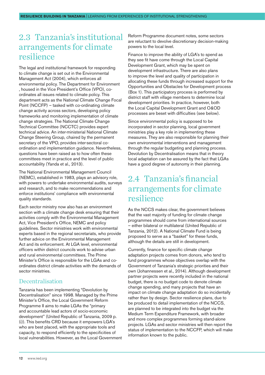#### <span id="page-11-0"></span>2.3 Tanzania's institutional arrangements for climate resilience

The legal and institutional framework for responding to climate change is set out in the Environmental Management Act (2004), which enforces all environmental policy. The Department for Environment , housed in the Vice President's Office (VPO), coordinates all issues related to climate policy. This department acts as the National Climate Change Focal Point (NCCFP) – tasked with co-ordinating climate change activity across sectors, developing policy frameworks and monitoring implementation of climate change strategies. The National Climate Change Technical Committee (NCCTC) provides expert technical advice. An inter-ministerial National Climate Change Steering Group, chaired by the permanent secretary of the VPO, provides inter-sectoral coordination and implementation guidance. Nevertheless, questions have been raised as to how often these committees meet in practice and the level of public accountability (Yanda et al., 2013).

The National Environmental Management Council (NEMC), established in 1983, plays an advisory role, with powers to undertake environmental audits, surveys and research, and to make recommendations and enforce institutions' compliance with environmental quality standards.

Each sector ministry now also has an environment section with a climate change desk ensuring that their activities comply with the Environmental Management Act, Vice President's Office, NEMC and policy guidelines. Sector ministries work with environmental experts based in the regional secretariats, who provide further advice on the Environmental Management Act and its enforcement. At LGA level, environmental officers within district councils work to advise urban and rural environmental committees. The Prime Minister's Office is responsible for the LGAs and coordinates district climate activities with the demands of sector ministries.

#### Decentralisation

Tanzania has been implementing "Devolution by Decentralisation" since 1998. Managed by the Prime Minister's Office, the Local Government Reform Programme II aims to make LGAs the "primary and accountable lead actors of socio-economic development" (United Republic of Tanzania, 2009 p. (i)). This benefits CRD because it empowers LGA's who are best placed, with the appropriate tools and capacity, to respond efficiently to the specificities of local vulnerabilities. However, as the Local Government Reform Programme document notes, some sectors are reluctant to devolve discretionary decision-making powers to the local level.

Finance to improve the ability of LGA's to spend as they see fit have come through the Local Capital Development Grant, which may be spent on development infrastructure. There are also plans to improve the level and quality of participation in allocating these funds through increased support for the Opportunities and Obstacles for Development process (Box 1). This participatory process is performed by district staff with village members to determine local development priorities. In practice, however, both the Local Capital Development Grant and O&OD processes are beset with difficulties (see below).

Since environmental policy is supposed to be incorporated in sector planning, local government ministries play a key role in implementing these measures. They are also responsible for planning their own environmental interventions and management through the regular budgeting and planning process. Devolution by Decentralisation means that in theory local adaptation can be assured by the fact that LGAs have a good degree of autonomy in their planning.

#### 2.4 Tanzania's financial arrangements for climate resilience

As the NCCS makes clear, the government believes that the vast majority of funding for climate change programmes should come from international sources – either bilateral or multilateral (United Republic of Tanzania, 2012). A National Climate Fund is being proposed to serve as a "basket" for these funds, although the details are still in development.

Currently, finance for specific climate change adaptation projects comes from donors, who tend to fund programmes whose objectives overlap with the Government of Tanzania's strategic priorities and their own (Johannessen et al., 2014). Although development partner projects were recently included in the national budget, there is no budget code to denote climate change spending, and many projects that have an impact on climate change adaptation do so incidentally rather than by design. Sector resilience plans, due to be produced to detail implementation of the NCCS, are planned to be integrated into the budget via the Medium Term Expenditure Framework, with broader and more complex programmes forming stand-alone projects. LGAs and sector ministries will then report the status of implementation to the NCCFP, which will make information known to the public.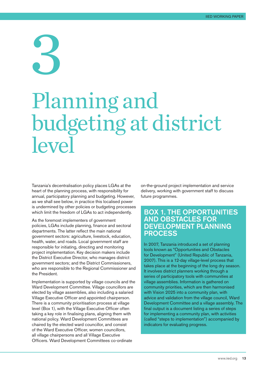## <span id="page-12-0"></span>3 Planning and budgeting at district level

Tanzania's decentralisation policy places LGAs at the heart of the planning process, with responsibility for annual, participatory planning and budgeting. However, as we shall see below, in practice this localised power is undermined by other policies or budgeting processes which limit the freedom of LGAs to act independently.

As the foremost implementers of government policies, LGAs include planning, finance and sectoral departments. The latter reflect the main national government sectors: agriculture, livestock, education, health, water, and roads. Local government staff are responsible for initiating, directing and monitoring project implementation. Key decision makers include the District Executive Director, who manages district government sectors; and the District Commissioners, who are responsible to the Regional Commissioner and the President.

Implementation is supported by village councils and the Ward Development Committee. Village councillors are elected by village assemblies, also including a salaried Village Executive Officer and appointed chairperson. There is a community prioritisation process at village level (Box 1), with the Village Executive Officer often taking a key role in finalising plans, aligning them with national policy. Ward Development Committees are chaired by the elected ward councillor, and consist of the Ward Executive Officer, women councillors, all village chairpersons and all Village Executive Officers. Ward Development Committees co-ordinate

on-the-ground project implementation and service delivery, working with government staff to discuss future programmes.

#### Box 1. The Opportunities and Obstacles for Development planning process

In 2007, Tanzania introduced a set of planning tools known as "Opportunities and Obstacles for Development" (United Republic of Tanzania, 2007). This is a 12-day village-level process that takes place at the beginning of the long dry season. It involves district planners working through a series of participatory tools with communities at village assemblies. Information is gathered on community priorities, which are then harmonised with Vision 2025 into a community plan, with advice and validation from the village council, Ward Development Committee and a village assembly. The final output is a document listing a series of steps for implementing a community plan, with activities (called "steps to implementation") accompanied by indicators for evaluating progress.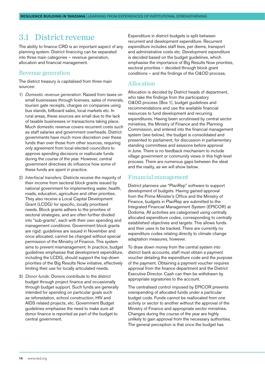#### <span id="page-13-0"></span>3.1 District revenue

The ability to finance CRD is an important aspect of any planning system. District financing can be separated into three main categories – revenue generation, allocation and financial management.

#### Revenue generation

The district treasury is capitalised from three main sources:

- 1) *Domestic revenue generation*: Raised from taxes on small businesses through licenses, sales of minerals, tourism gate receipts, charges on companies using bus stands, billboard sales, local markets etc. In rural areas, these sources are small due to the lack of taxable businesses or transactions taking place. Much domestic revenue covers recurrent costs such as staff salaries and government overheads. District governments have much more discretion over these funds than over those from other sources, requiring only agreement from local elected councillors to approve spending decisions or reallocate funds during the course of the year. However, central government directives do influence how some of these funds are spent in practice.
- 2) *Interfiscal transfers:* Districts receive the majority of their income from sectoral block grants issued by national government for implementing water, health, roads, education, agriculture and other priorities. They also receive a Local Capital Development Grant (LCDG) for specific, locally prioritised needs. Block grants adhere to the priorities of sectoral strategies, and are often further divided into "sub-grants", each with their own spending and management conditions. Government block grants are rigid: guidelines are issued in November and once allocated, cannot be changed without special permission of the Ministry of Finance. This system aims to prevent mismanagement. In practice, budget guidelines emphasise that development expenditure, including the LCDG, should support the top-down priorities of the Big Results Now initiative, effectively limiting their use for locally articulated needs.
- 3) *Donor funds:* Donors contribute to the district budget through project finance and occasionally through budget support. Such funds are generally intended for spending on particular goals such as reforestation, school construction, HIV and AIDS related projects, etc. Government Budget guidelines emphasise the need to make sure all donor finance is reported as part of the budget to central government.

Expenditure in district budgets is split between recurrent and development expenditure. Recurrent expenditure includes staff fees, per diems, transport and administrative costs etc. Development expenditure is decided based on the budget guidelines, which emphasise the importance of Big Results Now priorities, sectoral priorities – decided through block grant conditions – and the findings of the O&OD process.

#### Allocation

Allocation is decided by District heads of department, who take the findings from the participatory O&OD process (Box 1), budget guidelines and recommendations and use the available financial resources to fund development and recurring expenditures. Having been scrutinised by central sector ministries, the Ministry of Finance and the Planning Commission, and entered into the financial management system (see below), the budget is consolidated and presented to parliament, for discussion in parliamentary standing committees and sessions before approval in June. There is no feedback mechanism to include village government or community views in this high-level process. There are numerous gaps between the ideal and the reality, as we will show below.

#### Financial management

District planners use "PlanRep" software to support development of budgets. Having gained approval from the Prime Minister's Office and the Ministry of Finance, budgets in PlanRep are submitted to the Integrated Financial Management System (EPICOR) at Dodoma. All activities are categorised using centrally allocated expenditure codes, corresponding to centrally established objectives and targets. This allows funds and their uses to be tracked. There are currently no expenditure codes relating directly to climate change adaptation measures, however.

To draw down money from the central system into district bank accounts, staff must obtain a payment voucher detailing the expenditure code and the purpose of the payment. Obtaining a payment voucher requires approval from the finance department and the District Executive Director. Cash can then be withdrawn by appropriate signatories to the account.

The centralised control imposed by EPICOR prevents overspending of allocated funds under a particular budget code. Funds cannot be reallocated from one activity or sector to another without the approval of the Ministry of Finance and appropriate sector ministries. Changes during the course of the year are highly unlikely to gain approval from the necessary authorities. The general perception is that once the budget has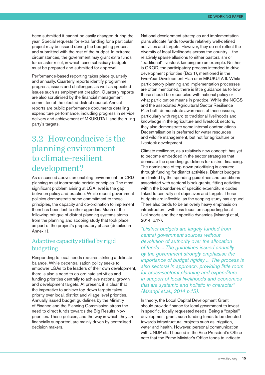<span id="page-14-0"></span>been submitted it cannot be easily changed during the year. Special requests for extra funding for a particular project may be issued during the budgeting process and submitted with the rest of the budget. In extreme circumstances, the government may grant extra funds for disaster relief, in which case subsidiary budgets must be prepared and submitted for approval.

Performance-based reporting takes place quarterly and annually. Quarterly reports identify programme progress, issues and challenges, as well as specified issues such as employment creation. Quarterly reports are also scrutinised by the financial management committee of the elected district council. Annual reports are public performance documents detailing expenditure performance, including progress in service delivery and achievement of MKUKUTA II and the ruling party's targets.

#### 3.2 How conducive is the planning environment to climate-resilient development?

As discussed above, an enabling environment for CRD planning must incorporate certain principles. The most significant problem arising at LGA level is the gap between policy and practice. While recent government policies demonstrate some commitment to these principles, the capacity and co-ordination to implement them has been lost to other agendas. Much of the following critique of district planning systems stems from the planning and scoping study that took place as part of the project's preparatory phase (detailed in Annex 1).

#### Adaptive capacity stifled by rigid budgeting

Responding to local needs requires striking a delicate balance. While decentralisation policy seeks to empower LGAs to be leaders of their own development, there is also a need to co-ordinate activities and funding priorities centrally to achieve national growth and development targets. At present, it is clear that the imperative to achieve top-down targets takes priority over local, district and village level priorities. Annually issued budget guidelines by the Ministry of Finance and the Planning Commission stress the need to direct funds towards the Big Results Now priorities. These policies, and the way in which they are financially supported, are mainly driven by centralised decision makers.

National development strategies and implementation plans allocate funds towards relatively well-defined activities and targets. However, they do not reflect the diversity of local livelihoods across the country – the relatively sparse allusions to either pastoralism or "traditional" livestock keeping are an example. Neither is O&OD, the participatory process intended to drive development priorities (Box 1), mentioned in the Five-Year Development Plan or in MKUKUTA II. While participatory planning and implementation processes are often mentioned, there is little guidance as to how these should be reconciled with national policy or what participation means in practice. While the NCCS and the associated Agricultural Sector Resilience Plan both demonstrate awareness of these issues, particularly with regard to traditional livelihoods and knowledge in the agriculture and livestock sectors, they also demonstrate some internal contradictions. Decentralisation is preferred for water resources and wildlife management, but not for agriculture or livestock development.

Climate resilience, as a relatively new concept, has yet to become embedded in the sector strategies that dominate the spending guidelines for district financing. The dominance of top-down prioritising is ensured through funding for district activities. District budgets are limited by the spending guidelines and conditions associated with sectoral block grants, fitting activities within the boundaries of specific expenditure codes linked to centrally set objectives and targets. These budgets are inflexible, as the scoping study has argued. There also tends to be an overly heavy emphasis on infrastructure, with less focus on supporting local livelihoods and their specific dynamics (Msangi et.al, 2014, p.17).

*"District budgets are largely funded from central government sources without devolution of authority over the allocation of funds ... The guidelines issued annually by the government strongly emphasise the importance of budget rigidity ... The process is also sectoral in approach, providing little room for cross-sectoral planning and expenditure in support of local livelihoods and economies that are systemic and holistic in character" (Msangi et.al., 2014 p.15).*

In theory, the Local Capital Development Grant should provide finance for local government to invest in specific, locally requested needs. Being a "capital" development grant, such funding tends to be directed towards infrastructural projects such as irrigation, water and health. However, personal communication with UNDP staff housed in the Vice President's Office note that the Prime Minister's Office tends to indicate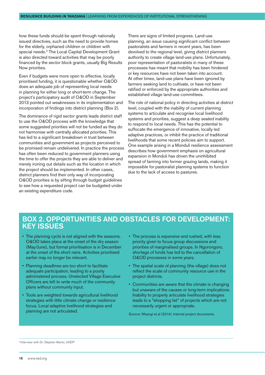how these funds should be spent through nationally issued directives, such as the need to provide homes for the elderly, orphaned children or children with special needs.3 The Local Capital Development Grant is also directed toward activities that may be poorly financed by the sector block grants, usually Big Results Now priorities.

Even if budgets were more open to effective, locally prioritised funding, it is questionable whether O&OD does an adequate job of representing local needs in planning for either long or short-term change. The project's participatory audit of O&OD in September 2013 pointed out weaknesses in its implementation and incorporation of findings into district planning (Box 2).

The dominance of rigid sector grants leads district staff to use the O&OD process with the knowledge that some suggested priorities will not be funded as they do not harmonise with centrally allocated priorities. This has led to a significant breakdown in trust between communities and government as projects perceived to be promised remain undelivered. In practice the process has often been reduced to government planners using the time to offer the projects they are able to deliver and merely ironing out details such as the location in which the project should be implemented. In other cases, district planners find their only way of incorporating O&OD priorities is by sifting through budget guidelines to see how a requested project can be budgeted under an existing expenditure code.

There are signs of limited progress. Land-use planning, an issue causing significant conflict between pastoralists and farmers in recent years, has been devolved to the regional level, giving district planners authority to create village land-use plans. Unfortunately, poor representation of pastoralists in many of these processes has meant that mobility has been hindered or key resources have not been taken into account. At other times, land-use plans have been ignored by farmers seeking land to cultivate, or have not been ratified or enforced by the appropriate authorities and established village land-use committees.

The role of national policy in directing activities at district level, coupled with the inability of current planning systems to articulate and recognise local livelihood systems and priorities, suggest a deep seated inability to respond to local needs. This has the potential to suffocate the emergence of innovative, locally led adaptive practices, or inhibit the practice of traditional livelihoods that some recent policies aim to support. One example arising in a Monduli resilience assessment describes how government emphasis on agricultural expansion in Monduli has driven the uninhibited spread of farming into former grazing lands, making it impossible for pastoralist planning systems to function due to the lack of access to pastures.

#### Box 2. Opportunities and Obstacles for Development: Key Issues

- The planning cycle is not aligned with the seasons. O&OD takes place at the onset of the dry season (May/June), but formal prioritisation is in December at the onset of the short rains. Activities prioritised earlier may no longer be relevant.
- Planning deadlines are too short to facilitate adequate participation, leading to a poorly administered process. Unelected Village Executive Officers are left to write much of the community plans without community input.
- Tools are weighted towards agricultural livelihood strategies with little climate change or resilience focus. Local adaptive livelihood strategies and planning are not articulated.
- The process is expensive and rushed, with less priority given to focus group discussions and priorities of marginalised groups. In Ngorongoro, shortage of funds has led to the cancellation of O&OD processes in some years.
- The spatial scale of planning (the village) does not reflect the scale of community resource use in the project districts.
- Communities are aware that the climate is changing but unaware of the causes or long-term implications. Inability to properly articulate livelihood strategies leads to a "shopping list" of projects which are not necessarily urgent or appropriate.

Source: Msangi et.al (2014), Internal project documents.

3 Interview with Dr. Stephen Mariki, UNDP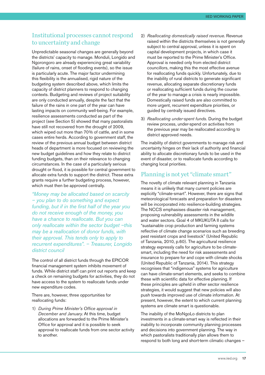#### Institutional processes cannot respond to uncertainty and change

Unpredictable seasonal changes are generally beyond the districts' capacity to manage. Monduli, Longido and Ngorongoro are already experiencing great variability (failure of rains, onset of flooding events), so the issue is particularly acute. The major factor undermining this flexibility is the annualised, rigid nature of the budgeting system described above, which limits the capacity of district planners to respond to changing contexts. Budgeting and reviews of project suitability are only conducted annually, despite the fact that the failure of the rains in one part of the year can have lasting impacts on community well-being. For example, resilience assessments conducted as part of the project (see Section 5) showed that many pastoralists have still not recovered from the drought of 2009, which wiped out more than 70% of cattle, and in some cases entire herds. According to government staff, the review of the previous annual budget between district heads of department is more focused on reviewing the new budget guidelines and how they relate to district funding budgets, than on their relevance to changing circumstances. In the case of a particularly serious drought or flood, it is possible for central government to allocate extra funds to support the district. These extra grants require a further budgeting process, however, which must then be approved centrally.

*"Money may be allocated based on scarcity – you plan to do something and expect funding, but if in the first half of the year you do not receive enough of the money, you have a chance to reallocate. But you can only reallocate within the sector budget –this may be a reallocation of donor funds, with their approval. This tends only to apply to recurrent expenditures". – Treasurer, Longido district council*

The control of all district funds through the EPICOR financial management system inhibits movement of funds. While district staff can print out reports and keep a check on remaining budgets for activities, they do not have access to the system to reallocate funds under new expenditure codes.

There are, however, three opportunities for reallocating funds:

1) *During Prime Minister's Office approval in December and January*. At this time, budget allocations are forwarded to the Prime Minister's Office for approval and it is possible to seek approval to reallocate funds from one sector activity to another.

- 2) *Reallocating domestically raised revenue*. Revenue raised within the districts themselves is not generally subject to central approval, unless it is spent on capital development projects, in which case it must be reported to the Prime Minister's Office. Approval is needed only from elected district councillors, making this the most effective avenue for reallocating funds quickly. Unfortunately, due to the inability of rural districts to generate significant revenue, allocating separate discretionary funds or reallocating sufficient funds during the course of the year to manage a crisis is nearly impossible. Domestically raised funds are also committed to more urgent, recurrent expenditure priorities, or guided by centrally issued directives.
- 3) *Reallocating under-spent funds.* During the budget review process, under-spend on activities from the previous year may be reallocated according to district approved needs.

The inability of district governments to manage risk and uncertainty hinges on their lack of authority and financial ability to allocate discretionary funds to be used in the event of disaster, or to reallocate funds according to changing local priorities.

#### Planning is not yet "climate smart"

The novelty of climate relevant planning in Tanzania means it is unlikely that many current policies are explicitly "climate-smart". However, there are signs that meteorological forecasts and preparation for disasters will be incorporated into resilience-building strategies. The NCCS emphasises disaster risk management, proposing vulnerability assessments in the wildlife and water sectors. Goal 4 of MKUKUTA II calls for "sustainable crop production and farming systems reflective of climate change scenarios such as breeding pest resistant crops and livestock" (United Republic of Tanzania, 2010, p.60). The agricultural resilience strategy expressly calls for agriculture to be climatesmart, including the need for risk assessments and insurance to prepare for and cope with climate shocks (United Republic of Tanzania, 2014). This strategy recognises that "indigenous" systems for agriculture can have climate-smart elements, and seeks to combine these with scientific data for effective planning. If these principles are upheld in other sector resilience strategies, it would suggest that new policies will also push towards improved use of climate information. At present, however, the extent to which current planning systems are climate smart is questionable.

The inability of the MoNgoLo districts to plan investments in a climate-smart way is reflected in their inability to incorporate community planning processes and decisions into government planning. The way in which pastoralists traditionally plan allows them to respond to both long and short-term climatic changes –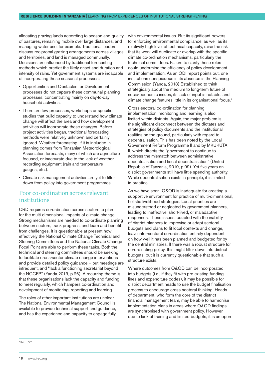allocating grazing lands according to season and quality of pastures, remaining mobile over large distances, and managing water use, for example. Traditional leaders discuss reciprocal grazing arrangements across villages and territories, and land is managed communally. Decisions are influenced by traditional forecasting methods which predict the likely onset and duration and intensity of rains. Yet government systems are incapable of incorporating these seasonal processes:

- Opportunities and Obstacles for Development processes do not capture these communal planning processes, concentrating mainly on day-to-day household activities.
- There are few processes, workshops or specific studies that build capacity to understand how climate change will affect the area and how development activities will incorporate these changes. Before project activities began, traditional forecasting methods were relatively unknown and certainly ignored. Weather forecasting, if it is included in planning comes from Tanzanian Meteorological Association forecasts, many of which are agriculture focused, or inaccurate due to the lack of weather recording equipment (rain and temperature gauges, etc.).
- Climate risk management activities are yet to filter down from policy into government programmes.

#### Poor co-ordination across relevant institutions

CRD requires co-ordination across sectors to plan for the multi-dimensional impacts of climate change. Strong mechanisms are needed to co-ordinate planning between sectors, track progress, and learn and benefit from challenges. It is questionable at present how effectively the National Climate Change Technical and Steering Committees and the National Climate Change Focal Point are able to perform these tasks. Both the technical and steering committees should be seeking to facilitate cross-sector climate change interventions and provide detailed policy guidance – but meetings are infrequent, and "lack a functioning secretariat beyond the NCCFP" (Yanda,2013, p.26). A recurring theme is that these organisations lack the capacity and funding to meet regularly, which hampers co-ordination and development of monitoring, reporting and learning.

The roles of other important institutions are unclear. The National Environmental Management Council is available to provide technical support and guidance, and has the experience and capacity to engage fully

with environmental issues. But its significant powers for enforcing environmental compliance, as well as its relatively high level of technical capacity, raise the risk that its work will duplicate or overlap with the specific climate co-ordination mechanisms, particularly the technical committees. Failure to clarify these roles could undermine the efficiency of policy development and implementation. As an ODI report points out, one institutions conspicuous in its absence is the Planning Commission (Yanda, 2013) Established to think strategically about the medium to long-term future of socio-economic issues, its lack of input is notable, and climate change features little in its organisational focus.4

Cross-sectoral co-ordination for planning, implementation, monitoring and learning is also limited within districts. Again, the major problem is the significant disconnect between the dictates and strategies of policy documents and the institutional realities on the ground, particularly with regard to decentralisation. This has been noted by the Local Government Reform Programme II and by MKUKUTA II, which directs the "government to continue to address the mismatch between administrative decentralisation and fiscal decentralisation" (United Republic of Tanzania, 2010, p.99). Yet five years on district governments still have little spending authority. While decentralisation exists in principle, it is limited in practice.

As we have seen, O&OD is inadequate for creating a supportive environment for practice of multi-dimensional, holistic livelihood strategies. Local priorities are misunderstood or neglected by government planners, leading to ineffective, short-lived, or maladaptive responses. These issues, coupled with the inability of district planners to improvise or adapt sectoral budgets and plans to fit local contexts and change, leave inter-sectoral co-ordination entirely dependent on how well it has been planned and budgeted for by the central ministries. If there was a robust structure for co-ordinating policy, this might filter down into district budgets, but it is currently questionable that such a structure exists.

Where outcomes from O&OD can be incorporated into budgets (i.e., if they fit with pre-existing funding lines and expenditure codes), it may be possible for district department heads to use the budget finalisation process to encourage cross-sectoral thinking. Heads of department, who form the core of the district financial management team, may be able to harmonise implementation plans in areas where O&OD findings are synchronised with government policy. However, due to lack of training and limited budgets, it is an open

4 Ibid. p27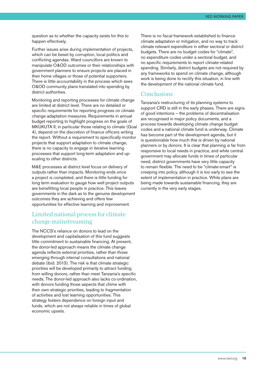question as to whether the capacity exists for this to happen effectively.

Further issues arise during implementation of projects, which can be beset by corruption, local politics and conflicting agendas. Ward councillors are known to manipulate O&OD outcomes or their relationships with government planners to ensure projects are placed in their home villages or those of potential supporters. There is little accountability in the process which sees O&OD community plans translated into spending by district authorities.

Monitoring and reporting processes for climate change are limited at district level. There are no detailed or specific requirements for reporting progress on climate change adaptation measures. Requirements in annual budget reporting to highlight progress on the goals of MKUKUTA II, in particular those relating to climate (Goal 4), depend on the discretion of finance officers writing the report. Without a requirement to specifically monitor projects that support adaptation to climate change, there is no capacity to engage in iterative learning processes that support long-term adaptation and upscaling to other districts.

M&E processes at district level focus on delivery of outputs rather than impacts. Monitoring ends once a project is completed, and there is little funding for long term evaluation to gauge how well project outputs are benefitting local people in practice. This leaves governments in the dark as to the genuine development outcomes they are achieving and offers few opportunities for effective learning and improvement.

#### Limited national process for climate change mainstreaming

The NCCS's reliance on donors to lead on the development and capitalisation of this fund suggests little commitment to sustainable financing. At present, the donor-led approach means the climate change agenda reflects external priorities, rather than those emerging through internal consultations and national debate (ibid. 2013). The risk is that climate strategic priorities will be developed primarily to attract funding from willing donors, rather than meet Tanzania's specific needs. The donor-led approach also lacks co-ordination, with donors funding those aspects that chime with their own strategic priorities, leading to fragmentation of activities and lost learning opportunities. This strategy fosters dependence on foreign input and funds, which are not always reliable in times of global economic upsets.

There is no fiscal framework established to finance climate adaptation or mitigation, and no way to track climate relevant expenditure in either sectoral or district budgets. There are no budget codes for "climate", no expenditure codes under a sectoral budget, and no specific requirements to report climate-related spending. Similarly, district budgets are not required by any frameworks to spend on climate change, although work is being done to rectify this situation, in line with the development of the national climate fund.

#### **Conclusions**

Tanzania's restructuring of its planning systems to support CRD is still in the early phases. There are signs of good intentions – the problems of decentralisation are recognised in major policy documents, and a process towards developing climate change budget codes and a national climate fund is underway. Climate has become part of the development agenda, but it is questionable how much this is driven by national planners or by donors. It is clear that planning is far from responsive to local needs in practice, and while central government may allocate funds in times of particular need, district governments have very little capacity to remain flexible. The need to be "climate-smart" is creeping into policy, although it is too early to see the extent of implementation in practice. While plans are being made towards sustainable financing, they are currently in the very early stages.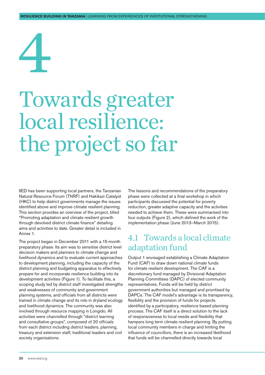# <span id="page-19-0"></span>4

## Towards greater local resilience: the project so far

IIED has been supporting local partners, the Tanzanian Natural Resource Forum (TNRF) and Hakikazi Catalyst (HKC) to help district governments manage the issues identified above and improve climate resilient planning. This section provides an overview of the project, titled "Promoting adaptation and climate resilient growth through devolved district climate finance" detailing aims and activities to date. Greater detail is included in Annex 1.

The project began in December 2011 with a 15-month preparatory phase. Its aim was to sensitise district level decision makers and planners to climate change and livelihood dynamics and to evaluate current approaches to development planning, including the capacity of the district planning and budgeting apparatus to effectively prepare for and incorporate resilience building into its development activities (Figure 1). To facilitate this, a scoping study led by district staff investigated strengths and weaknesses of community and government planning systems, and officials from all districts were trained in climate change and its role in dryland ecology and livelihood dynamics. The community was also involved through resource mapping in Longido. All activities were channelled through "district learning and consultative groups", composed of 20 officials from each district including district leaders, planning, treasury and extension staff, traditional leaders and civil society organisations.

The lessons and recommendations of the preparatory phase were collected at a final workshop in which participants discussed the potential for poverty reduction, greater adaptive capacity and the activities needed to achieve them. These were summarised into four outputs (Figure 2), which defined the work of the implementation phase (June 2013–March 2015).

#### 4.1 Towards a local climate adaptation fund

Output 1 envisaged establishing a Climate Adaptation Fund (CAF) to draw down national climate funds for climate resilient development. The CAF is a discretionary fund managed by Divisional Adaptation Planning Committees (DAPC) of elected community representatives. Funds will be held by district government authorities but managed and prioritised by DAPCs. The CAF model's advantage is its transparency, flexibility and the provision of funds for projects identified by a participatory, resilience based planning process. The CAF itself is a direct solution to the lack of responsiveness to local needs and flexibility that hampers long term climate resilient planning. By putting local community members in charge and limiting the influence of councillors, there is an increased likelihood that funds will be channelled directly towards local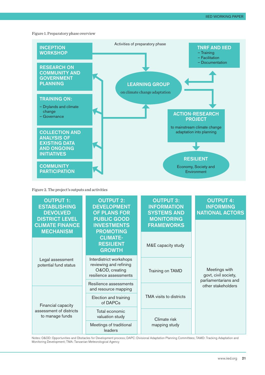#### Figure 1. Preparatory phase overview



Figure 2. The project's outputs and activities



Notes: O&OD: Opportunities and Obstacles for Development process; DAPC: Divisional Adaptation Planning Committees; TAMD: Tracking Adaptation and Monitoring Development; TMA: Tanzanian Meteorological Agency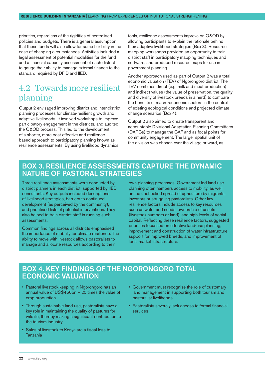<span id="page-21-0"></span>priorities, regardless of the rigidities of centralised policies and budgets. There is a general assumption that these funds will also allow for some flexibility in the case of changing circumstances. Activities included a legal assessment of potential modalities for the fund and a financial capacity assessment of each district to gauge their ability to manage external finance to the standard required by DFID and IIED.

#### 4.2 Towards more resilient planning

Output 2 envisaged improving district and inter-district planning processes for climate-resilient growth and adaptive livelihoods. It involved workshops to improve participatory engagement in the districts, and audited the O&OD process. This led to the development of a shorter, more cost-effective and resiliencebased approach to participatory planning known as resilience assessments. By using livelihood dynamics

tools, resilience assessments improve on O&OD by allowing participants to explain the rationale behind their adaptive livelihood strategies (Box 3). Resource mapping workshops provided an opportunity to train district staff in participatory mapping techniques and software, and produced resource maps for use in government planning.

Another approach used as part of Output 2 was a total economic valuation (TEV) of Ngorongoro district. The TEV combines direct (e.g. milk and meat production) and indirect values (the value of preservation, the quality and diversity of livestock breeds in a herd) to compare the benefits of macro-economic sectors in the context of existing ecological conditions and projected climate change scenarios (Box 4).

Output 2 also aimed to create transparent and accountable Divisional Adaptation Planning Committees (DAPCs) to manage the CAF and as focal points for community engagement. The larger spatial unit of the division was chosen over the village or ward, as

#### Box 3. Resilience assessments capture the dynamic nature of pastoral strategies

Three resilience assessments were conducted by district planners in each district, supported by IIED consultants. Key outputs included descriptions of livelihood strategies, barriers to continued development (as perceived by the community), and prioritised lists of potential interventions. They also helped to train district staff in running such assessments.

Common findings across all districts emphasised the importance of mobility for climate resilience. The ability to move with livestock allows pastoralists to manage and allocate resources according to their

own planning processes. Government led land-use planning often hampers access to mobility, as well as the unchecked spread of agriculture by migrants, investors or struggling pastoralists. Other key resilience factors include access to key resources such as water and seeds, ownership of assets (livestock numbers or land), and high levels of social capital. Reflecting these resilience factors, suggested priorities focussed on effective land-use planning, improvement and construction of water infrastructure, support for improved breeds, and improvement of local market infrastructure.

#### Box 4. Key findings of the Ngorongoro total economic valuation

- Pastoral livestock keeping in Ngorongoro has an annual value of US\$456bn – 20 times the value of crop production
- Through sustainable land use, pastoralists have a key role in maintaining the quality of pastures for wildlife, thereby making a significant contribution to the tourism industry
- Sales of livestock to Kenya are a fiscal loss to Tanzania
- Government must recognise the role of customary land management in supporting both tourism and pastoralist livelihoods
- Pastoralists severely lack access to formal financial services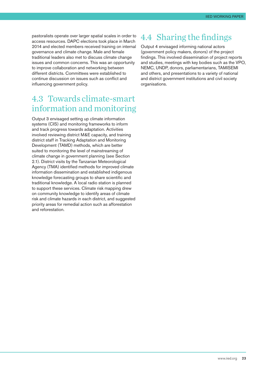<span id="page-22-0"></span>pastoralists operate over larger spatial scales in order to access resources. DAPC elections took place in March 2014 and elected members received training on internal governance and climate change. Male and female traditional leaders also met to discuss climate change issues and common concerns. This was an opportunity to improve collaboration and networking between different districts. Committees were established to continue discussion on issues such as conflict and influencing government policy.

#### 4.3 Towards climate-smart information and monitoring

Output 3 envisaged setting up climate information systems (CIS) and monitoring frameworks to inform and track progress towards adaptation. Activities involved reviewing district M&E capacity, and training district staff in Tracking Adaptation and Monitoring Development (TAMD) methods, which are better suited to monitoring the level of mainstreaming of climate change in government planning (see Section 2.1). District visits by the Tanzanian Meteorological Agency (TMA) identified methods for improved climate information dissemination and established indigenous knowledge forecasting groups to share scientific and traditional knowledge. A local radio station is planned to support these services. Climate risk mapping drew on community knowledge to identify areas of climate risk and climate hazards in each district, and suggested priority areas for remedial action such as afforestation and reforestation.

#### 4.4 Sharing the findings

Output 4 envisaged informing national actors (government policy makers, donors) of the project findings. This involved dissemination of project reports and studies, meetings with key bodies such as the VPO, NEMC, UNDP, donors, parliamentarians, TAMISEMI and others, and presentations to a variety of national and district government institutions and civil society organisations.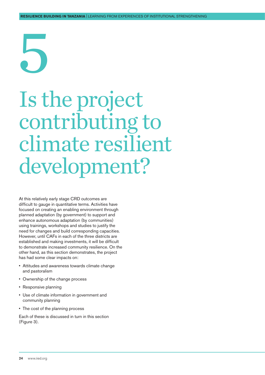# <span id="page-23-0"></span>5

## Is the project contributing to climate resilient development?

At this relatively early stage CRD outcomes are difficult to gauge in quantitative terms. Activities have focused on creating an enabling environment through planned adaptation (by government) to support and enhance autonomous adaptation (by communities) using trainings, workshops and studies to justify the need for changes and build corresponding capacities. However, until CAFs in each of the three districts are established and making investments, it will be difficult to demonstrate increased community resilience. On the other hand, as this section demonstrates, the project has had some clear impacts on:

- Attitudes and awareness towards climate change and pastoralism
- Ownership of the change process
- Responsive planning
- Use of climate information in government and community planning
- The cost of the planning process

Each of these is discussed in turn in this section (Figure 3).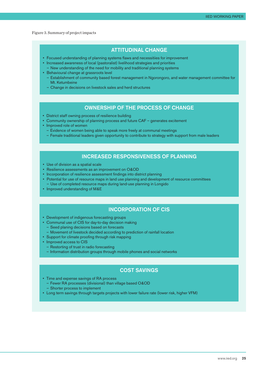#### Figure 3. Summary of project impacts

#### Attitudinal Change

- Focused understanding of planning systems flaws and necessitiies for improvement
- Increased awareness of local (pastoralist) livelihood strategies and priorities – New understanding of the need for mobility and traditional planning systems
- Behavioural change at grassroots level
	- Establishment of community based forest management in Ngorongoro, and water management committee for Mt. Ketumbeine
	- Change in decisions on livestock sales and herd structures

#### Ownership of the process of change

- District staff owning process of resilience building
- Community ownership of planning process and future CAF generates excitement
- Improved role of women
	- Evidence of women being able to speak more freely at communal meetings
	- Female traditional leaders given opportunity to contribute to strategy with support from male leaders

#### Increased Responsiveness of Planning

- Use of division as a spatial scale
- Resilience assessments as an improvement on O&OD
- Incorporation of resilience assessment findings into district planning
- Potential for use of resource maps in land use planning and development of resource committees
- Use of completed resource maps during land-use planning in Longido
- Improved understanding of M&E

#### Incorporation of CIS

- Development of indigenous forecasting groups
- Communal use of CIS for day-to-day decision making
- Seed planing decisions based on forecasts
- Movement of livestock decided according to prediction of rainfall location
- Support for climate proofing through risk mapping
- Improved access to CIS
- Restorting of trust in radio forecasting
- Information distribution groups through mobile phones and social networks

#### Cost Savings

- Time and expense savings of RA process
	- Fewer RA processes (divisional) than village based O&OD
	- Shorter process to implement
- Long term savings through targets projects with lower failure rate (lower risk, higher VFM)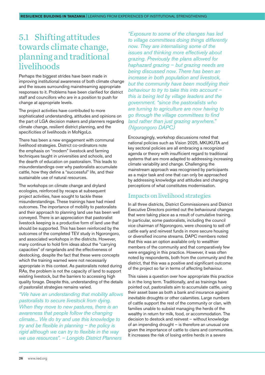#### <span id="page-25-0"></span>5.1 Shifting attitudes towards climate change, planning and traditional **livelihoods**

Perhaps the biggest strides have been made in improving institutional awareness of both climate change and the issues surrounding mainstreaming appropriate responses to it. Problems have been clarified for district staff and councillors who are in a position to push for change at appropriate levels.

The project activities have contributed to more sophisticated understanding, attitudes and opinions on the part of LGA decision makers and planners regarding climate change, resilient district planning, and the specificities of livelihoods in MoNgoLo.

There has been a new engagement with communal livelihood strategies. District co-ordinators note the emphasis on "modern" livestock and farming techniques taught in universities and schools, and the dearth of education on pastoralism. This leads to misunderstandings over why pastoralists accumulate cattle, how they define a "successful" life, and their sustainable use of natural resources.

The workshops on climate change and dryland ecologies, reinforced by recaps at subsequent project activities, have sought to tackle these misunderstandings. These trainings have had mixed outcomes. The importance of mobility to pastoralists and their approach to planning land use has been well conveyed. There is an appreciation that pastoralist livestock keeping is a productive form of land use that should be supported. This has been reinforced by the outcomes of the completed TEV study in Ngorongoro, and associated workshops in the districts. However, many continue to hold firm ideas about the "carrying capacities" of rangelands and the effectiveness of destocking, despite the fact that these were concepts which the training warned were not necessarily appropriate in this context. As pastoralists noted during RAs, the problem is not the capacity of land to support existing livestock, but the barriers to accessing high quality forage. Despite this, understanding of the details of pastoralist strategies remains varied.

*"We have an understanding that mobility allows pastoralists to secure livestock from dying. When they move to new pastures, there is an awareness that people follow the changing climate... We do try and use this knowledge to try and be flexible in planning – the policy is rigid although we can try to flexible in the way we use resources". – Longido District Planners*

*"Exposure to some of the changes has led to village committees doing things differently now. They are internalising some of the issues and thinking more effectively about grazing. Previously the plans allowed for haphazard grazing – but grazing needs are being discussed now. There has been an increase in both population and livestock, but the community have been modifying their behaviour to try to take this into account – this is being led by village leaders and the government. "since the pastoralists who are turning to agriculture are now having to go through the village committees to find land rather than just grazing anywhere." (Ngorongoro DAPC)*

Encouragingly, workshop discussions noted that national policies such as Vision 2025, MKUKUTA and key sectoral policies are all embracing a recognized agenda or theory with insufficient regard to traditional systems that are more adapted to addressing increasing climate variability and change. Challenging the mainstream approach was recognised by participants as a major task and one that can only be approached by addressing knowledge and attitudes and changing perceptions of what constitutes modernisation.

#### Impacts on livelihood strategies

In all three districts, District Commissioners and District Executive Directors pointed out the behavioural changes that were taking place as a result of cumulative training. In particular, some pastoralists, including the council vice chairman of Ngorongoro, were choosing to sell off cattle early and reinvest funds in more secure housing or diversified income streams. DAPC members noted that this was an option available only to wealthier members of the community and that comparatively few were engaging in this practice. However, it was often noted by respondents, both from the community and the district, that this was a positive and significant outcome of the project so far in terms of affecting behaviour.

This raises a question over how appropriate this practice is in the long term. Traditionally, and as trainings have pointed out, pastoralists aim to accumulate cattle, using their asset base as both a bank and insurance against inevitable droughts or other calamities. Large numbers of cattle support the rest of the community or clan, with families unable to subsist managing the herds of the wealthy in return for milk, food, or accommodation. The decision to destock and reinvest – without knowledge of an impending drought – is therefore an unusual one given the importance of cattle to clans and communities. It increases the risk of losing entire herds in a severe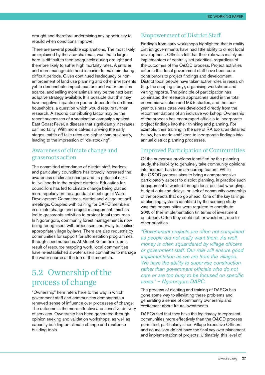<span id="page-26-0"></span>drought and therefore undermining any opportunity to rebuild when conditions improve.

There are several possible explanations. The most likely, as explained by the vice-chairman, was that a large herd is difficult to feed adequately during drought and therefore likely to suffer high mortality rates. A smaller and more manageable herd is easier to maintain during difficult periods. Given continued inadequacy or nonenforcement of land use planning and other investments yet to demonstrate impact, pasture and water remains scarce, and selling more animals may be the next best adaptive strategy available. It is possible that this may have negative impacts on poorer dependents on these households, a question which would require further research. A second contributing factor may be the recent successes of a vaccination campaign against East Coast Fever, a disease that significantly increases calf mortality. With more calves surviving the early stages, cattle off-take rates are higher than previously, leading to the impression of "de-stocking".

#### Awareness of climate change and grassroots action

The committed attendance of district staff, leaders, and particularly councillors has broadly increased the awareness of climate change and its potential risks to livelihoods in the project districts. Education for councillors has led to climate change being placed more regularly on the agenda at meetings of Ward Development Committees, district and village council meetings. Coupled with training for DAPC members in climate change and project management, this has led to grassroots activities to protect local resources. In Ngorongoro, community forest management is now being recognised, with processes underway to finalise appropriate village by-laws. There are also requests by communities for support for afforestation programmes through seed nurseries. At Mount Ketumbeine, as a result of resource mapping work, local communities have re-established a water users committee to manage the water source at the top of the mountain.

#### 5.2 Ownership of the process of change

"Ownership" here refers here to the way in which government staff and communities demonstrate a renewed sense of influence over processes of change. The outcome is the more effective and sensitive delivery of services. Ownership has been generated through opinion seeking and validation workshops, as well as capacity building on climate change and resilience building tools.

#### Empowerment of District Staff

Findings from early workshops highlighted that in reality district governments have had little ability to direct local development. Officials felt that their role was mainly as implementers of centrally set priorities, regardless of the outcomes of the O&OD process. Project activities differ in that local government staff have been core contributors to project findings and development. District focal people have taken active roles in research (e.g. the scoping study), organising workshops and writing reports. The principle of participation has dominated the research approaches used in the total economic valuation and M&E studies, and the fouryear business case was developed directly from the recommendations of an inclusive workshop. Ownership of the process has encouraged officials to incorporate project findings into their thinking and planning. For example, their training in the use of RA tools, as detailed below, has made staff keen to incorporate findings into annual district planning processes.

#### Improved Participation of Communities

Of the numerous problems identified by the planning study, the inability to genuinely take community opinions into account has been a recurring feature. While the O&OD process aims to bring a comprehensive participatory aspect to district planning, in practice such engagement is wasted through local political wrangling, budget cuts and delays, or lack of community ownership of the projects that do go ahead. One of the key failings of planning systems identified by the scoping study was that communities were required to contribute 20% of their implementation (in terms of investment or labour). Often they could not, or would not, due to other priorities.

*"Government projects are often not completed as people did not really want them. As well, money is often squandered by village officers or government staff. Our role will ensure good implementation as we are from the villages. We have the ability to supervise construction rather than government officials who do not care or are too busy to be focused on specific areas." – Ngorongoro DAPC*

The process of electing and training of DAPCs has gone some way to alleviating these problems and generating a sense of community ownership and excitement about future investments.

DAPCs feel that they have the legitimacy to represent communities more effectively than the O&OD process permitted, particularly since Village Executive Officers and councillors do not have the final say over placement and implementation of projects. Ultimately, this level of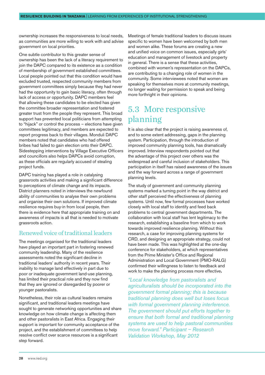<span id="page-27-0"></span>ownership increases the responsiveness to local needs, as communities are more willing to work with and advise government on local priorities.

One subtle contributor to this greater sense of ownership has been the lack of a literacy requirement to join the DAPC compared to its existence as a condition of membership of government established committees. Local people pointed out that this condition would have excluded trusted, respected community members from government committees simply because they had never had the opportunity to gain basic literacy, often through lack of access or opportunity. DAPC members feel that allowing these candidates to be elected has given the committee broader representation and fostered greater trust from the people they represent. This broad support has prevented local politicians from attempting to "hijack" or control the process – elections have given committees legitimacy, and members are expected to report progress back to their villages. Monduli DAPC members noted that candidates who had offered bribes had failed to gain election onto their DAPC. Sidestepping interventions by Village Executive Officers and councillors also helps DAPCs avoid corruption, as these officials are regularly accused of stealing project funds.

DAPC training has played a role in catalysing grassroots activities and making a significant difference to perceptions of climate change and its impacts. District planners noted in interviews the newfound ability of communities to analyse their own problems and organise their own solutions. If improved climate resilience requires buy-in from local people, then there is evidence here that appropriate training on and awareness of impacts is all that is needed to motivate grassroots action.

#### Renewed voice of traditional leaders

The meetings organised for the traditional leaders have played an important part in fostering renewed community leadership. Many of the resilience assessments noted the significant decline in traditional leaders' authority in recent years. Their inability to manage land effectively in part due to poor or inadequate government land-use planning, has limited their practical role and they now find that they are ignored or disregarded by poorer or younger pastoralists.

Nonetheless, their role as cultural leaders remains significant, and traditional leaders meetings have sought to generate networking opportunities and share knowledge on how climate change is affecting them and other pastoralists in East Africa. Engaging their support is important for community acceptance of the project, and the establishment of committees to help resolve conflict over scarce resources is a significant step forward.

Meetings of female traditional leaders to discuss issues specific to women have been welcomed by both men and women alike. These forums are creating a new and unified voice on common issues, especially girls' education and management of livestock and property in general. There is a sense that these activities, combined with women's representation on the DAPCs, are contributing to a changing role of women in the community. Some interviewees noted that women are speaking for themselves more at community meetings, no longer waiting for permission to speak and being more forthright in their opinions.

#### 5.3 More responsive planning

It is also clear that the project is raising awareness of, and to some extent addressing, gaps in the planning system. Participation, through the introduction of improved community planning tools, has dramatically improved. Interview respondents pointed out that the advantage of this project over others was the widespread and careful inclusion of stakeholders. This participation in itself has raised awareness of the issues and the way forward across a range of government planning levels.

The study of government and community planning systems marked a turning point in the way district and other staff perceived the effectiveness of planning systems. Until now, few formal processes have worked closely with local staff to identify and feed back problems to central government departments. The collaboration with local staff has lent legitimacy to the research, establishing a baseline from which to work towards improved resilience planning. Without this research, a case for improving planning systems for CRD, and designing an appropriate strategy, could not have been made. This was highlighted at the one-day conference for stakeholders, at which representatives from the Prime Minister's Office and Regional Administration and Local Government (PMO-RALG) confirmed their willingness to listen to feedback and work to make the planning process more effective**.**

*"Local knowledge from pastoralists and agriculturalists should be incorporated into the government formal planning; this is because traditional planning does well but loses focus with formal government planning interference. The government should put efforts together to ensure that both formal and traditional planning systems are used to help pastoral communities move forward." Participant – Research Validation Workshop, May 2012*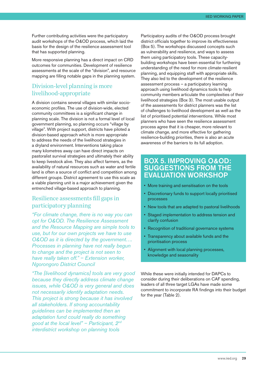Further contributing activities were the participatory audit workshops of the O&OD process, which laid the basis for the design of the resilience assessment tool that has supported planning.

More responsive planning has a direct impact on CRD outcomes for communities. Development of resilience assessments at the scale of the "division", and resource mapping are filling notable gaps in the planning system.

#### Division-level planning is more livelihood-appropriate

A division contains several villages with similar socioeconomic profiles. The use of division-wide, elected community committees is a significant change in planning scale. The division is not a formal level of local government planning, so planning occurs "village by village". With project support, districts have piloted a division-based approach which is more appropriate to address the needs of the livelihood strategies in a dryland environment. Interventions taking place many kilometres away can have direct impacts on pastoralist survival strategies and ultimately their ability to keep livestock alive. They also affect farmers, as the availability of natural resources such as water and fertile land is often a source of conflict and competition among different groups. District agreement to use this scale as a viable planning unit is a major achievement given the entrenched village-based approach to planning.

#### Resilience assessments fill gaps in participatory planning

*"For climate change, there is no way you can opt for O&OD. The Resilience Assessment and the Resource Mapping are simple tools to use, but for our own projects we have to use O&OD as it is directed by the government…. Processes in planning have not really begun to change and the project is not seen to have really taken off." – Extension worker, Ngorongoro District Council*

*"The [livelihood dynamics] tools are very good because they directly address climate change issues, while O&OD is very general and does not necessarily identify adaptation needs. This project is strong because it has involved all stakeholders. If strong accountability guidelines can be implemented then an adaptation fund could really do something good at the local level" – Participant, 2nd interdistrict workshop on planning tools*

Participatory audits of the O&OD process brought district officials together to improve its effectiveness (Box 5). The workshops discussed concepts such as vulnerability and resilience, and ways to assess them using participatory tools. These capacitybuilding workshops have been essential for furthering understanding of the need for more climate-resilient planning, and equipping staff with appropriate skills. They also led to the development of the resilience assessment process – a participatory learning approach using livelihood dynamics tools to help community members articulate the complexities of their livelihood strategies (Box 3). The most usable output of the assessments for district planners was the list of challenges to livelihood development as well as the list of prioritised potential interventions. While most planners who have seen the resilience assessment process agree that it is cheaper, more relevant to climate change, and more effective for gathering resilience-building priorities, there is also an acute awareness of the barriers to its full adoption.

#### Box 5. Improving O&OD: Suggestions from the evaluation workshop

- More training and sensitisation on the tools
- Discretionary funds to support locally prioritised processes
- New tools that are adapted to pastoral livelihoods
- Staged implementation to address tension and clarify confusion
- Recognition of traditional governance systems
- Transparency about available funds and the prioritisation process
- Alignment with local planning processes, knowledge and seasonality

While these were initially intended for DAPCs to consider during their deliberations on CAF spending, leaders of all three target LGAs have made some commitment to incorporate RA findings into their budget for the year (Table 2).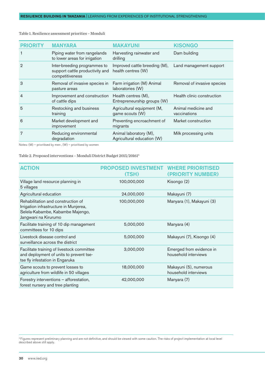| <b>PRIORITY</b> | <b>MANYARA</b>                                                                     | <b>MAKAYUNI</b>                                      | <b>KISONGO</b>                      |
|-----------------|------------------------------------------------------------------------------------|------------------------------------------------------|-------------------------------------|
| 1               | Piping water from rangelands<br>to lower areas for irrigation                      | Harvesting rainwater and<br>drilling                 | Dam building                        |
| $\mathcal{D}$   | Inter-breeding programmes to<br>support cattle productivity and<br>competitiveness | Improved cattle breeding (M),<br>health centres (W)  | Land management support             |
| 3               | Removal of invasive species in<br>pasture areas                                    | Farm irrigation (M) Animal<br>laboratories (W)       | Removal of invasive species         |
| $\overline{4}$  | Improvement and construction<br>of cattle dips                                     | Health centres (M),<br>Entrepreneurship groups (W)   | Health clinic construction          |
| 5               | Restocking and business<br>training                                                | Agricultural equipment (M,<br>game scouts (W)        | Animal medicine and<br>vaccinations |
| 6               | Market development and<br>improvement                                              | Preventing encroachment of<br>migrants               | Market construction                 |
| 7               | Reducing environmental<br>degradation                                              | Animal laboratory (M),<br>Agricultural education (W) | Milk processing units               |
|                 |                                                                                    |                                                      |                                     |

Table 1. Resilience assessment priorities – Monduli

Notes: (M) – prioritised by men , (W) – prioritised by women

Table 2. Proposed interventions – Monduli District Budget 2015/201615

| <b>ACTION</b>                                                                                                                            | <b>PROPOSED INVESTMENT</b><br>(TSH) | <b>WHERE PRIORITISED</b><br>(PRIORITY NUMBER)    |
|------------------------------------------------------------------------------------------------------------------------------------------|-------------------------------------|--------------------------------------------------|
| Village land resource planning in<br>5 villages                                                                                          | 100,000,000                         | Kisongo (2)                                      |
| Agricultural education                                                                                                                   | 24,000,000                          | Makayuni (7)                                     |
| Rehabilitation and construction of<br>Irrigation infrastructure in Munjerea,<br>Selela-Kabambe, Kabambe Majengo,<br>Jangwani na Kirurumo | 100,000,000                         | Manyara (1), Makayuni (3)                        |
| Facilitate training of 10 dip management<br>committees for 10 dips                                                                       | 5,000,000                           | Manyara (4)                                      |
| Livestock disease control and<br>surveillance across the district                                                                        | 5,000,000                           | Makayuni (7), Kisongo (4)                        |
| Facilitate training of livestock committee<br>and deployment of units to prevent tse-<br>tse fly infestation in Engaruka                 | 3,000,000                           | Emerged from evidence in<br>household interviews |
| Game scouts to prevent losses to<br>agriculture from wildlife in 50 villages                                                             | 18,000,000                          | Makayuni (5), numerous<br>household interviews   |
| Forestry interventions - afforestation,<br>forest nursery and tree planting                                                              | 42,000,000                          | Manyara (7)                                      |

<sup>5</sup> Figures represent preliminary planning and are not definitive, and should be viewed with some caution. The risks of project implementation at local level described above still apply.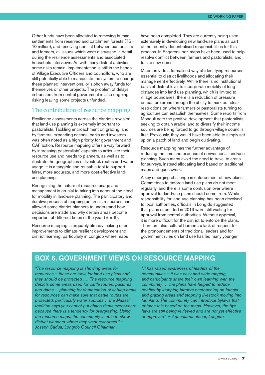Other funds have been allocated to removing human settlements from reserved and catchment forests (TSH 10 million), and resolving conflict between pastoralists and farmers, all issues which were discussed in detail during the resilience assessments and associated household interviews. As with many district activities, some risks remain. Implementation is still in the hands of Village Executive Officers and councillors, who are still potentially able to manipulate the system to change these planned interventions, or siphon away funds for themselves or other projects. The problem of delays in transfers from central government is also ongoing, risking leaving some projects unfunded.

#### The contribution of resource mapping

Resilience assessments across the districts revealed that land-use planning is extremely important to pastoralists. Tackling encroachment on grazing land by farmers, expanding national parks and investors was often noted as a high priority for government and CAF action. Resource mapping offers a way forward by increasing pastoralists' capacity to articulate their resource use and needs to planners, as well as to illustrate the geographies of livestock routes and water usage. It is a tangible and reusable tool to support fairer, more accurate, and more cost-effective landuse planning.

Recognising the nature of resource usage and management is crucial to taking into account the need for mobility in land-use planning. The participatory and iterative process of mapping an area's resources has allowed some district planners to understand how decisions are made and why certain areas become important at different times of the year (Box 6).

Resource mapping is arguably already making direct improvements to climate-resilient development and district learning, particularly in Longido where maps

have been completed. They are currently being used extensively in developing new land-use plans as part of the recently decentralised responsibilities for this process. In Engarenaibor, maps have been used to help resolve conflict between farmers and pastoralists, and to site new dams.

Maps provide a formalised way of identifying resources essential to district livelihoods and allocating their management effectively. While there is no institutional basis at district level to incorporate mobility of long distances into land use planning, which is limited to village boundaries, there is a reduction of pressure on pasture areas through the ability to mark out clear restrictions on where farmers or pastoralists turning to agriculture can establish themselves. Some reports from Monduli note the positive development that pastoralists seeking to obtain arable land to diversify their income sources are being forced to go through village councils first. Previously, they would have been able to simply set up on a patch of land and begin cultivating.

Resource mapping has the further advantage of reducing the time and expense of conventional land-use planning. Such maps avoid the need to travel to areas for surveys, instead allocating land based on traditional maps and guesswork.

A key emerging challenge is enforcement of new plans. Committees to enforce land-use plans do not meet regularly, and there is some confusion over where approval for land-use plans should come from. While responsibility for land-use planning has been devolved to local authorities, officials in Longido suggested that plans submitted in 2013 were still waiting for approval from central authorities. Without approval, it is more difficult for the district to enforce the plans. There are also cultural barriers: a lack of respect for the pronouncements of traditional leaders and for government rules on land use has led many younger

#### Box 6. Government views on resource mapping

*"The resource mapping is showing areas for resources – these are tools for land use plans and they should be protected …. The resource mapping depicts some areas used for cattle routes, pastures and dams… planning for demarcation of setting areas for resources can make sure that cattle routes are protected, particularly water sources… the Maasai tradition says you cannot put chaco dams everywhere because there is a tendency for overgrazing. Using the resource maps, the community is able to show district planners where they want resources." – Joseph Sadua, Longido Council Chairman*

*"It has raised awareness of leaders of the communities – it was easy and wide ranging, and participants share their own learning with the community … the plans have helped to reduce conflict by stopping farmers encroaching on forests and grazing areas and stopping livestock moving into farmland. The community can introduce bylaws that enforce this based on the maps. However, the bye laws are still being reviewed and are not yet effective or approved". – Agricultural officer, Longido*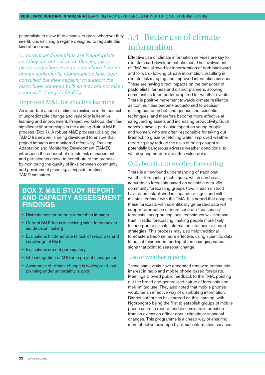<span id="page-31-0"></span>pastoralists to allow their animals to graze wherever they see fit, undermining a regime designed to regulate this kind of behaviour.

*"…current land-use plans are inappropriate and they are not enforced. Grazing takes place everywhere – some areas have become human settlements. Communities have been consulted but their capacity to support the plans have not been built so they are not taken seriously". (Longido DAPC)*

#### Improved M&E for effective learning

An important aspect of climate resilience in the context of unpredictable change and variability is iterative learning and improvement. Project workshops identified significant shortcomings in the existing district M&E process (Box 7). A robust M&E process utilising the TAMD framework is being developed to ensure that project impacts are monitored effectively. Tracking Adaptation and Monitoring Development (TAMD) introduces the concept of climate risk management, and participants chose to contribute to the process by monitoring the quality of links between community and government planning, alongside existing TAMD indicators.

#### Box 7. M&E study report and capacity assessment **FINDINGS**

- Districts monitor outputs rather than impacts
- Current M&E focus is seeking value for money to aid decision making
- Evaluations hindered due to lack of resources and knowledge of M&E
- Evaluations are not participatory
- Little integration of M&E into project management
- Awareness of climate change is widespread, but planning under uncertainty is poor

#### 5.4 Better use of climate information

Effective use of climate information services are key to climate-smart development choices. The involvement of TMA has allowed for incorporation of both backward and forward- looking climate information, resulting in climate risk mapping and improved information services. These are having direct impacts on the behaviour of pastoralists, farmers and district planners, allowing communities to be better prepared for weather events. There is positive movement towards climate resilience as communities become accustomed to decision making based on both indigenous and scientific techniques, and therefore become more effective at safeguarding assets and increasing productivity. Such services have a particular impact on young people and women, who are often responsible for taking out livestock to graze or fetching water. Improved weather reporting may reduce the risks of being caught in potentially dangerous adverse weather conditions, to which young herders are often vulnerable.

#### Collaboration in weather forecasting

There is a newfound understanding of traditional weather forecasting techniques, which can be as accurate as forecasts based on scientific data. Six community forecasting groups (two in each district) have been established in separate villages and will maintain contact with the TMA. It is hoped that coupling these forecasts with scientifically generated data will support production of more accurate "consensus" forecasts. Incorporating local techniques will increase trust in radio forecasting, making people more likely to incorporate climate information into their livelihood strategies. This process may also help traditional forecasters become more effective, using scientific data to adjust their understanding of the changing natural signs that point to seasonal change.

#### Use of weather reports

These same visits have generated renewed community interest in radio and mobile phone-based forecasts. Meetings allowed public feedback to the TMA, pointing out the broad and generalised nature of forecasts and their limited use. They also noted that mobile phones would be an effective way of distributing information. District authorities have seized on this learning, with Ngorongoro being the first to establish groups of mobile phone users to receive and disseminate information from an extension officer about climatic or seasonal changes. This programme is a cheap way of ensuring more effective coverage by climate information services.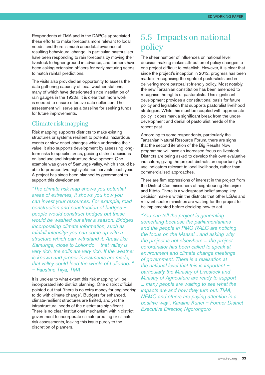<span id="page-32-0"></span>Respondents at TMA and in the DAPCs appreciated these efforts to make forecasts more relevant to local needs, and there is much anecdotal evidence of resulting behavioural change. In particular, pastoralists have been responding to rain forecasts by moving their livestock to higher ground in advance, and farmers have been asking extension officers for early maturing seeds to match rainfall predictions.

The visits also provided an opportunity to assess the data gathering capacity of local weather stations, many of which have deteriorated since installation of rain gauges in the 1920s. It is clear that more work is needed to ensure effective data collection. The assessment will serve as a baseline for seeking funds for future improvements.

#### Climate risk mapping

Risk mapping supports districts to make existing structures or systems resilient to potential hazardous events or slow-onset changes which undermine their value. It also supports development by assessing longterm risks to specific areas, guiding district decisions on land use and infrastructure development. One example was given of Samunge valley, which should be able to produce two high yield rice harvests each year. A project has since been planned by government to support this development.

*"The climate risk map shows you potential areas of extremes, it shows you how you can invest your resources. For example, road construction and construction of bridges – people would construct bridges but these would be washed out after a season. Bridges incorporating climate information, such as rainfall intensity- you can come up with a structure which can withstand it. Areas like Samunge, close to Loliondo – that valley is very rich, the soils are very rich. If the weather is known and proper investments are made, that valley could feed the whole of Loliondo. " – Faustine Tilya, TMA*

It is unclear to what extent this risk mapping will be incorporated into district planning. One district official pointed out that "there is no extra money for engineering to do with climate change". Budgets for enhanced, climate-resilient structures are limited, and yet the infrastructural needs of the district are significant. There is no clear institutional mechanism within district government to incorporate climate proofing or climate risk assessments, leaving this issue purely to the discretion of planners.

#### 5.5 Impacts on national policy

The sheer number of influences on national level decision making makes attribution of policy changes to one project difficult to establish. However, it is clear that since the project's inception in 2012, progress has been made in recognising the rights of pastoralists and in delivering more pastoralist-friendly policy. Most notably, the new Tanzanian constitution has been amended to recognise the rights of pastoralists. This significant development provides a constitutional basis for future policy and legislation that supports pastoralist livelihood strategies. While this must be coupled with appropriate policy, it does mark a significant break from the underdevelopment and denial of pastoralist needs of the recent past.

According to some respondents, particularly the Tanzanian Natural Resource Forum, there are signs that the second iteration of the Big Results Now programme will have an increased focus on livestock. Districts are being asked to develop their own evaluative indicators, giving the project districts an opportunity to use indicators relevant to local livelihoods, rather than commercialised approaches.

There are firm expressions of interest in the project from the District Commissioners of neighbouring Simanjiro and Kiteto. There is a widespread belief among key decision makers within the districts that other LGAs and relevant sector ministries are waiting for the project to be implemented before deciding how to act.

*"You can tell the project is generating something because the parliamentarians and the people in PMO-RALG are noticing the focus on the Maasai... and asking why the project is not elsewhere ... the project co-ordinator has been called to speak at environment and climate change meetings of government. There is a realisation at the national level that this is important – particularly the Ministry of Livestock and Ministry of Agriculture are ready to support ... many people are waiting to see what the impacts are and how they turn out. TMA, NEMC and others are paying attention in a positive way". Karaine Kunei – Former District Executive Director, Ngorongoro*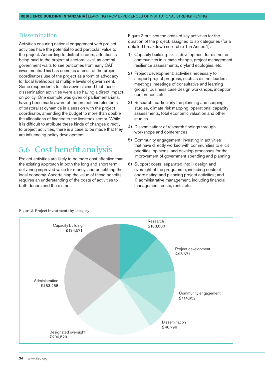#### <span id="page-33-0"></span>Dissemination

Activities ensuring national engagement with project activities have the potential to add particular value to the project. According to district leaders, attention is being paid to the project at sectoral level, as central government waits to see outcomes from early CAF investments. This has come as a result of the project coordinators use of the project as a form of advocacy for local livelihoods at multiple levels of government. Some respondents to interviews claimed that these dissemination activities were also having a direct impact on policy. One example was given of parliamentarians, having been made aware of the project and elements of pastoralist dynamics in a session with the project coordinator, amending the budget to more than double the allocations of finance to the livestock sector. While it is difficult to attribute these kinds of changes directly to project activities, there is a case to be made that they are influencing policy development.

#### 5.6 Cost-benefit analysis

Project activities are likely to be more cost effective than the existing approach in both the long and short term, delivering improved value for money, and benefitting the local economy. Ascertaining the value of these benefits requires an understanding of the costs of activities to both donors and the district.

Figure 3 outlines the costs of key activities for the duration of the project, assigned to six categories (for a detailed breakdown see Table 1 in Annex 1):

- 1) Capacity building: skills development for district or communities in climate change, project management, resilience assessments, dryland ecologies, etc.
- 2) Project development: activities necessary to support project progress, such as district leaders meetings, meetings of consultative and learning groups, business case design workshops, inception conferences etc.
- 3) Research: particularly the planning and scoping studies, climate risk mapping, operational capacity assessments, total economic valuation and other studies
- 4) Dissemination: of research findings through workshops and conferences
- 5) Community engagement: investing in activities that have directly worked with communities to elicit priorities, opinions, and develop processes for the improvement of government spending and planning
- 6) Support costs: separated into i) design and oversight of the programme, including costs of coordinating and planning project activities; and ii) administrative management, including financial management, costs, rents, etc.



Figure 3. Project investments by category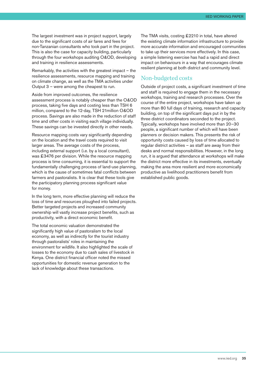The largest investment was in project support, largely due to the significant costs of air fares and fees for non-Tanzanian consultants who took part in the project. This is also the case for capacity building, particularly through the four workshops auditing O&OD, developing and training in resilience assessments.

Remarkably, the activities with the greatest impact – the resilience assessments, resource mapping and training on climate change, as well as the TMA activities under Output 3 – were among the cheapest to run.

Aside from improved outcomes, the resilience assessment process is notably cheaper than the O&OD process, taking five days and costing less than TSH 6 million, compared to the 12-day, TSH 21million O&OD process. Savings are also made in the reduction of staff time and other costs in visiting each village individually. These savings can be invested directly in other needs.

Resource mapping costs vary significantly depending on the location and the travel costs required to visit larger areas. The average costs of the process, including external support (i.e. by a local consultant), was £3476 per division. While the resource mapping process is time consuming, it is essential to support the fundamentally challenging process of land-use planning, which is the cause of sometimes fatal conflicts between farmers and pastoralists. It is clear that these tools give the participatory planning process significant value for money.

In the long term, more effective planning will reduce the loss of time and resources ploughed into failed projects. Better targeted projects and increased community ownership will vastly increase project benefits, such as productivity, with a direct economic benefit.

The total economic valuation demonstrated the significantly high value of pastoralism to the local economy, as well as indirectly for the tourist industry through pastoralists' roles in maintaining the environment for wildlife. It also highlighted the scale of losses to the economy due to cash sales of livestock in Kenya. One district financial officer noted the missed opportunities for domestic revenue generation to the lack of knowledge about these transactions.

The TMA visits, costing £2210 in total, have altered the existing climate information infrastructure to provide more accurate information and encouraged communities to take up their services more effectively. In this case, a simple listening exercise has had a rapid and direct impact on behaviours in a way that encourages climate resilient planning at both district and community level.

#### Non-budgeted costs

Outside of project costs, a significant investment of time and staff is required to engage them in the necessary workshops, training and research processes. Over the course of the entire project, workshops have taken up more than 80 full days of training, research and capacity building, on top of the significant days put in by the three district coordinators seconded to the project. Typically, workshops have involved more than 20–30 people, a significant number of which will have been planners or decision makers. This presents the risk of opportunity costs caused by loss of time allocated to regular district activities – as staff are away from their desks and normal responsibilities. However, in the long run, it is argued that attendance at workshops will make the district more effective in its investments, eventually making the area more resilient and more economically productive as livelihood practitioners benefit from established public goods.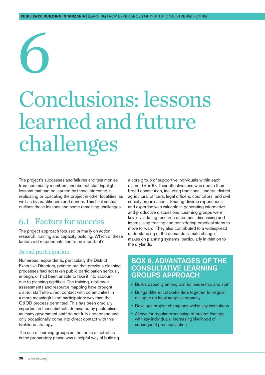# <span id="page-35-0"></span>6

## Conclusions: lessons learned and future challenges

The project's successes and failures and testimonies from community members and district staff highlight lessons that can be learned by those interested in replicating or upscaling the project in other localities, as well as by practitioners and donors. This final section outlines these lessons and some remaining challenges.

#### 6.1 Factors for success

The project approach focused primarily on action research, training and capacity building. Which of these factors did respondents find to be important?

#### Broad participation

Numerous respondents, particularly the District Executive Directors, pointed out that previous planning processes had not taken public participation seriously enough, or had been unable to take it into account due to planning rigidities. The training, resilience assessments and resource mapping have brought district staff into direct contact with communities in a more meaningful and participatory way than the O&OD process permitted. This has been crucially important in these districts dominated by pastoralism, as many government staff do not fully understand and only occasionally come into direct contact with this livelihood strategy.

The use of learning groups as the focus of activities in the preparatory phase was a helpful way of building a core group of supportive individuals within each district (Box 8). Their effectiveness was due to their broad constitution, including traditional leaders, district agricultural officers, legal officers, councillors, and civil society organisations. Sharing diverse experiences and expertise was valuable in generating informative and productive discussions. Learning groups were key in validating research outcomes, discussing and internalising training and considering practical steps to move forward. They also contributed to a widespread understanding of the demands climate change makes on planning systems, particularly in relation to the drylands.

#### Box 8. Advantages of the consultative learning groups approach

- Builds capacity among district leadership and staff
- Brings different stakeholders together for regular dialogue on local adaptive capacity
- Develops project champions within key institutions
- Allows for regular processing of project findings with key individuals, increasing likelihood of subsequent practical action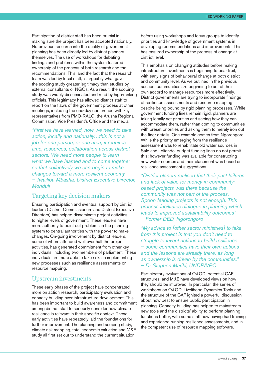Participation of district staff has been crucial in making sure the project has been accepted nationally. No previous research into the quality of government planning has been directly led by district planners themselves. The use of workshops for debating findings and problems within the system fostered ownership of the process of both research and the recommendations. This, and the fact that the research team was led by local staff, is arguably what gave the scoping study greater legitimacy than studies by external consultants or NGOs. As a result, the scoping study was widely disseminated and read by high-ranking officials. This legitimacy has allowed district staff to report on the flaws of the government process at other meetings, including the one-day conference with key representatives from PMO-RALG, the Arusha Regional Commission, Vice President's Office and the media.

*"First we have learned, now we need to take action, locally and nationally…this is not a job for one person, or one area, it requires time, resources, collaboration across district sectors. We need more people to learn what we have learned and to come together so that collectively we can begin to make changes toward a more resilient economy" – Twailiba Mbasha, District Executive Director, Monduli*

#### Targeting key decision makers

Ensuring participation and eventual support by district leaders (District Commissioners and District Executive Directors) has helped disseminate project activities to higher levels of government. These leaders have more authority to point out problems in the planning system to central authorities with the power to make changes. On-going involvement by district leaders, some of whom attended well over half the project activities, has generated commitment from other key individuals, including two members of parliament. These individuals are more able to take risks in implementing new processes such as resilience assessments or resource mapping.

#### Upstream investments

These early phases of the project have concentrated more on action research, participatory evaluation and capacity building over infrastructure development. This has been important to build awareness and commitment among district staff to seriously consider how climate resilience is relevant in their specific context. These early activities have repeatedly laid the foundations for further improvement. The planning and scoping study, climate risk mapping, total economic valuation and M&E study all first set out to understand the current situation

before using workshops and focus groups to identify priorities and knowledge of government systems in developing recommendations and improvements. This has ensured ownership of the process of change at district level.

This emphasis on changing attitudes before making infrastructure investments is beginning to bear fruit, with early signs of behavioural change at both district and community level. As we outlined in the previous section, communities are beginning to act of their own accord to manage resources more effectively. District governments are trying to incorporate findings of resilience assessments and resource mapping despite being bound by rigid planning processes. While government funding lines remain rigid, planners are taking locally set priorities and seeing how they can accommodate them, rather than coming to communities with preset priorities and asking them to merely iron out the finer details. One example comes from Ngorongoro. While the priority emerging from the resilience assessment was to rehabilitate old water sources in Sale and Loliondo, budget funding lines do not permit this; however funding was available for constructing new water sources and their placement was based on resilience assessment suggestions.

*"District planers realised that their past failures and lack of value for money in communitybased projects was there because the community was not part of the process. Spoon feeding projects is not enough. This process facilitates dialogue in planning which leads to improved sustainability outcomes" – Former DED, Ngorongoro*

*"My advice to [other sector ministries] to take from this project is that you don't need to struggle to invent actions to build resilience – some communities have their own actions and the lessons are already there, as long as ownership is driven by the communities." – Dr Stephen Mariki, UNDP/VPO*

Participatory evaluations of O&OD, potential CAF structures, and M&E have developed views on how they should be improved. In particular, the series of workshops on O&OD, Livelihood Dynamics Tools and the structure of the CAF ignited a powerful discussion about how best to ensure public participation in planning. Capacity building has helped to mainstream new tools and the districts' ability to perform planning functions better, with some staff now having had training and experience running resilience assessments, and in the competent use of resource mapping software.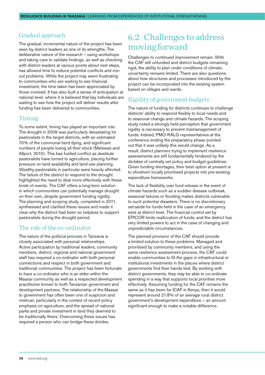#### <span id="page-37-0"></span>Gradual approach

The gradual, incremental nature of the project has been seen by district leaders as one of its strengths. The deliberative nature of the research – using workshops and taking care to validate findings, as well as checking with district leaders at various points about next steps, has allowed time to reduce potential conflicts and iron out problems. While the project may seem frustrating to communities who are waiting to see financial investment, the time taken has been appreciated by those involved. It has also built a sense of anticipation at national level, where it is believed that key individuals are waiting to see how the project will deliver results after funding has been delivered to communities.

#### Timing

To some extent, timing has played an important role. The drought in 2009 was particularly devastating for pastoralists in the target districts, with an estimated 70% of the communal herd dying, and significant numbers of people losing all their stock (Melewas and Allport, 2010). This has fuelled conflict as destitute pastoralists have turned to agriculture, placing further pressure on land availability and land-use planning. Wealthy pastoralists in particular were heavily affected. The failure of the district to respond to the drought highlighted the need to deal more effectively with these kinds of events. The CAF offers a long-term solution in which communities can potentially manage drought on their own, despite government funding rigidity. The planning and scoping study, completed in 2011, synthesised and clarified these issues and made it clear why the district had been so helpless to support pastoralists during the drought period.

#### The role of the co-ordinator

The nature of the political process in Tanzania is closely associated with personal relationships. Active participation by traditional leaders, community members, district, regional and national government staff has required a co-ordinator with both personal connections and respect in both government and traditional communities. The project has been fortunate to have a co-ordinator who is an elder within the Maasai community as well as a respected development practitioner known to both Tanzanian government and development partners. The relationship of the Maasai to government has often been one of suspicion and mistrust, particularly in the context of recent policy emphasis on agriculture, and the spread of national parks and private investment in land they deemed to be traditionally theirs. Overcoming these issues has required a person who can bridge these divides.

#### 6.2 Challenges to address moving forward

Challenges to continued improvement remain. With the CAF still unfunded and district budgets remaining rigid, the ability to plan under conditions of climatic uncertainty remains limited. There are also questions about how structures and processes introduced by the project can be incorporated into the existing system based on villages and wards.

#### Rigidity of government budgets

The nature of funding for districts continues to challenge districts' ability to respond flexibly to local needs and to seasonal change and climate hazards. The scoping study noted a strongly held perception that government rigidity is necessary to prevent mismanagement of funds. Indeed, PMO-RALG representatives at the conference ending the preparatory phase pointed out that it was unlikely this would change. As a result, district planners trying to implement resilience assessments are still fundamentally hindered by the dictates of centrally set policy and budget guidelines. Given funding shortages, their best option at present is to shoehorn locally prioritised projects into pre-existing expenditure frameworks.

The lack of flexibility over fund release in the event of climate hazards such as a sudden disease outbreak, seasonal failures or flooding makes districts vulnerable to such potential disasters. There is no discretionary set-aside for funds held in the case of an emergency exist at district level. The financial control set by EPICOR limits reallocation of funds, and the district has very limited powers to act in the case of changing and unpredictable circumstances.

The planned provision of the CAF should provide a limited solution to these problems. Managed and prioritised by community members, and using the same resilience assessment process, the CAF could enable communities to fill the gaps in infrastructural or institutional investments in the places where district governments find their hands tied. By working with district governments, they may be able to co-ordinate spending in a way that supports local priorities more effectively. Assuming funding for the CAF remains the same as it has been for ICAF in Kenya, then it would represent around 21.8% of an average rural district government's development expenditure – an amount significant enough to make a notable difference.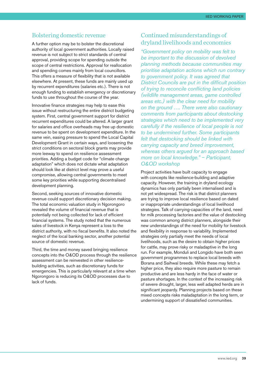#### Bolstering domestic revenue

A further option may be to bolster the discretional authority of local government authorities. Locally raised revenue is not subject to strict standards of central approval, providing scope for spending outside the scope of central restrictions. Approval for reallocation and spending comes mainly from local councillors. This offers a measure of flexibility that is not available elsewhere. At present, these funds are mainly used up by recurrent expenditures (salaries etc.). There is not enough funding to establish emergency or discretionary funds to use throughout the course of the year.

Innovative finance strategies may help to ease this issue without restructuring the entire district budgeting system. First, central government support for district recurrent expenditures could be altered. A larger grant for salaries and office overheads may free up domestic revenue to be spent on development expenditure. In the same vein, easing pressure to spend the Local Capital Development Grant in certain ways, and loosening the strict conditions on sectoral block grants may provide more leeway to spend on resilience assessment priorities. Adding a budget code for "climate change adaptation" which does not dictate what adaptation should look like at district level may prove a useful compromise, allowing central governments to meet some key priorities while supporting decentralised development planning.

Second, seeking sources of innovative domestic revenue could support discretionary decision making. The total economic valuation study in Ngorongoro revealed the volume of financial revenue that is potentially not being collected for lack of efficient financial systems. The study noted that the numerous sales of livestock in Kenya represent a loss to the district authority, with no fiscal benefits. It also noted the neglect of the local banking sector, another potential source of domestic revenue.

Third, the time and money saved bringing resilience concepts into the O&OD process through the resilience assessment can be reinvested in other resiliencebuilding activities, such as discretionary funds for emergencies. This is particularly relevant at a time when Ngorongoro is reducing its O&OD processes due to lack of funds.

#### Continued misunderstandings of dryland livelihoods and economies

*"Government policy on mobility was felt to be important to the discussion of devolved planning methods because communities may prioritise adaptation actions which run contrary to government policy. It was agreed that District Councils are put in the difficult position of trying to reconcile conflicting land policies (wildlife management areas, game controlled areas etc.) with the clear need for mobility on the ground …. There were also cautionary comments from participants about destocking strategies which need to be implemented very carefully if the resilience of local people is not to be undermined further. Some participants felt that destocking should be linked with carrying capacity and breed improvement, whereas others argued for an approach based more on local knowledge." – Participant, O&OD workshop*

Project activities have built capacity to engage with concepts like resilience-building and adaptive capacity. However, the training in dryland ecology dynamics has only partially been internalised and is not yet widespread. The risk is that district planners are trying to improve local resilience based on dated or inappropriate understandings of local livelihood strategies. Talk of carrying-capacities of the land, need for milk processing factories and the value of destocking was common among district planners, alongside their new understandings of the need for mobility for livestock and flexibility in response to variability. Implemented strategies only partially meet the needs of local livelihoods, such as the desire to obtain higher prices for cattle, may prove risky or maladaptive in the long run. For example, Monduli and Longido have both seen government programmes to replace local breeds with Borana and Saihwal breeds. While these may fetch a higher price, they also require more pasture to remain productive and are less hardy in the face of water or pasture shortages. In the context of the increasing risk of severe drought, larger, less well adapted herds are in significant jeopardy. Planning projects based on these mixed concepts risks maladaptation in the long term, or undermining support of dissatisfied communities.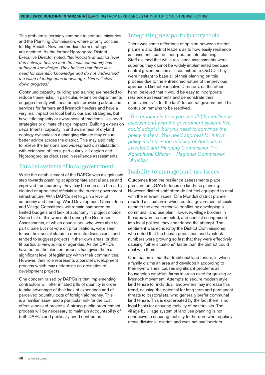This problem is certainly common to sectoral ministries and the Planning Commission, where priority policies for Big Results Now and medium term strategy are decided. As the former Ngorongoro District Executive Director noted, *"technocrats at district level don't always believe that the local community has sufficient knowledge. They believe that there is a need for scientific knowledge and do not understand the value of indigenous knowledge. This will slow down progress*."

Continued capacity building and training are needed to reduce these risks. In particular, extension departments engage directly with local people, providing advice and services for farmers and livestock herders and have a very real impact on local behaviour and strategies, but have little capacity or awareness of traditional livelihood strategies or climate change impacts. Building extension departments' capacity in and awareness of dryland ecology dynamics in a changing climate may ensure better advice across the district. This may also help to relieve the tensions and widespread dissatisfaction with extension officers, particularly in Longido and Ngorongoro, as discussed in resilience assessments.

#### Parallel systems of local government

While the establishment of the DAPCs was a significant step towards planning at appropriate spatial scales and improved transparency, they may be seen as a threat by elected or appointed officials in the current government infrastructure. With DAPCs set to gain a level of autonomy and funding, Ward Development Committees and Village Committees will remain hampered by limited budgets and lack of autonomy in project choice. Some hint of this was noted during the Resilience Assessments, at which councillors, who were able to participate but not vote on prioritisations, were seen to use their social status to dominate discussions, and tended to suggest projects in their own areas, or that fit particular viewpoints or agendas. As the DAPCs have noted, the election process has given them a significant level of legitimacy within their communities. However, their role represents a parallel development process which may undermine co-ordination of development projects.

One concern raised by DAPCs is that implementing contractors will offer inflated bills of quantity in order to take advantage of their lack of experience and of perceived bountiful pots of foreign aid money. This is a familiar issue, and a particular risk for the cost effectiveness of projects. A strong public procurement process will be necessary to maintain accountability of both DAPCs and publically hired contractors.

#### Integrating new participatory tools

There was some difference of opinion between district planners and district leaders as to how easily resilience assessments can be incorporated into planning. Staff claimed that while resilience assessments were superior, they cannot be widely implemented because central government is still committed to O&OD. They were hesitant to base all of their planning on this process due to the entrenched nature of the previous approach. District Executive Directors, on the other hand, believed that it would be easy to incorporate resilience assessments and demonstrate their effectiveness "after the fact" to central government. This confusion remains to be resolved.

*"The problem is how you can fit [the resilience assessment] with the government system. We could adopt it, but you need to convince the policy makers. You need approval for it from policy makers – the ministry of Agriculture, Livestock and Planning Commission." – Agricultural Officer – Regional Commission (Arusha)*

#### Inability to manage land-use issues

Outcomes from the resilience assessments place pressure on LGA's to focus on land-use planning. However, district staff often do not feel equipped to deal with the relevant issues. One Monduli district planner recalled a situation in which central government officials came to the area to resolve conflict by developing a communal land use plan. However, village borders in the area were so contested, and conflict so ingrained into local politics, they abandoned the attempt. The sentiment was echoed by the District Commissioner, who noted that the human population and livestock numbers were growing so fast that they were effectively causing "bitter situations" faster than the district could deal with them.

One reason is that that traditional land tenure, in which a family claims an area and develops it according to their own wishes, causes significant problems as households establish farms in areas used for grazing or livestock movement. Attempts to secure modern style land tenure for individual landowners may increase this trend, causing the potential for long-term and permanent threats to pastoralists, who generally prefer communal land tenure. This is exacerbated by the fact there is no legal basis for ensuring mobility of pastoralists. The village-by-village system of land use planning is not conducive to securing mobility for herders who regularly cross divisional, district, and even national borders.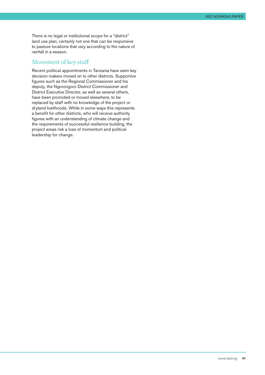There is no legal or institutional scope for a "district" land use plan, certainly not one that can be responsive to pasture locations that vary according to the nature of rainfall in a season.

#### Movement of key staff

Recent political appointments in Tanzania have seen key decision makers moved on to other districts. Supportive figures such as the Regional Commissioner and his deputy, the Ngorongoro District Commissioner and District Executive Director, as well as several others, have been promoted or moved elsewhere, to be replaced by staff with no knowledge of the project or dryland livelihoods. While in some ways this represents a benefit for other districts, who will receive authority figures with an understanding of climate change and the requirements of successful resilience building, the project areas risk a loss of momentum and political leadership for change.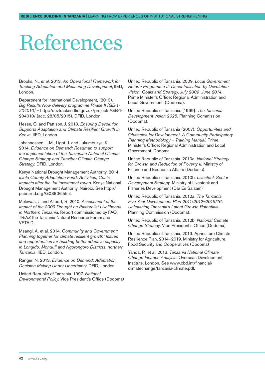## <span id="page-41-0"></span>References

Brooks, N., *et al*. 2013. *An Operational Framework for Tracking Adaptation and Measuring Development*, IIED, London.

Department for International Development, (2013). *Big Results Now delivery programme Phase II [GB-1- 204010]* – [http://devtracker.dfid.gov.uk/projects/GB-1-](http://devtracker.dfid.gov.uk/projects/GB-1-204010/) [204010/](http://devtracker.dfid.gov.uk/projects/GB-1-204010/) (acc. 28/05/2015), DFID, London.

Hesse, C. and Pattison, J. 2013. *Ensuring Devolution Supports Adaptation and Climate Resilient Growth in Kenya.* IIED, London.

Johannessen, L.M., Ligot, J. and Lukumbuzya, K. 2014. *Evidence on Demand: Roadmap to support the implementation of the Tanzanian National Climate Change Strategy and Zanzibar Climate Change Strategy.* DFID, London.

Kenya National Drought Management Authority. 2014. *Isiolo County Adaptation Fund: Activities, Costs, Impacts after the 1st investment round.* Kenya National Drought Management Authority, Nairobi. See [http://](http://pubs.iied.org/G03806.html) [pubs.iied.org/G03806.html.](http://pubs.iied.org/G03806.html)

Melewas, J. and Allport, R. 2010. *Assessment of the Impact of the 2009 Drought on Pastoralist Livelihoods in Northern Tanzania.* Report commissioned by FAO, TRiAZ the Tanzania Natural Resource Forum and VETAiD.

Msangi, A. et al. 2014. *Community and Government: Planning together for climate resilient growth: Issues and opportunities for building better adaptive capacity in Longido, Monduli and Ngorongoro Districts, northern Tanzania*. IIED, London.

Ranger, N. 2013. *Evidence on Demand: Adaptation, Decision Making Under Uncertainty*. DFID, London.

United Republic of Tanzania. 1997. *National Environmental Policy.* Vice President's Office (Dodoma) United Republic of Tanzania. 2009. *Local Government Reform Programme II: Decentralisation by Devolution*, *Vision, Goals and Strategy, July 2009–June 2014.* Prime Minister's Office: Regional Administration and Local Government. (Dodoma).

United Republic of Tanzania. [1999]. *The Tanzania Development Vision 2025*. Planning Commission (Dodoma).

United Republic of Tanzania (2007). *Opportunities and Obstacles for Development. A Community Participatory Planning Methodology* – *Training Manual.* Prime Minister's Office: Regional Administration and Local Government, Dodoma.

United Republic of Tanzania. 2010a. *National Strategy for Growth and Reduction of Poverty II.* Ministry of Finance and Economic Affairs (Dodoma).

United Republic of Tanzania. 2010b. *Livestock Sector Development Strategy.* Ministry of Livestock and Fisheries Development (Dar Es Salaam)

United Republic of Tanzania. 2012a. *The Tanzania Five Year Development Plan 2011/2012–2015/16: Unleashing Tanzania's Latent Growth Potentials.*  Planning Commission (Dodoma).

United Republic of Tanzania. 2012b. *National Climate Change Strategy.* Vice President's Office (Dodoma)

United Republic of Tanzania. 2013. Agriculture Climate Resilience Plan, 2014–2019. Ministry for Agriculture, Food Security and Cooperatives (Dodoma)

Yanda, P., et al. 2013. *Tanzania National Climate Change Finance Analysis*. Overseas Development Institute, London. Se[e www.cbd.int/financial/](http://www.cbd.int/financial/climatechange/tanzania-climate.pdf) [climatechange/tanzania-climate.pdf.](http://www.cbd.int/financial/climatechange/tanzania-climate.pdf)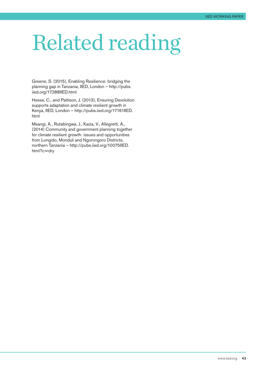## <span id="page-42-0"></span>Related reading

Greene, S. (2015), Enabling Resilience: bridging the planning gap in Tanzania, IIED, London – [http://pubs.](http://pubs.iied.org/17288IIED.html) [iied.org/17288IIED.html](http://pubs.iied.org/17288IIED.html)

Hesse, C., and Pattison, J. (2013), Ensuring Devolution supports adaptation and climate resilient growth in Kenya, IIED, London – [http://pubs.iied.org/17161IIED.](http://pubs.iied.org/17161IIED.html) [html](http://pubs.iied.org/17161IIED.html)

Msangi, A., Rutabingwa, J., Kaiza, V., Allegretti, A., (2014) Community and government planning together for climate resilient growth: issues and opportunities from Longido, Monduli and Ngorongoro Districts, northern Tanzania – [http://pubs.iied.org/10075IIED.](http://pubs.iied.org/10075IIED.html%3Fc%3Ddry) [html?c=dry](http://pubs.iied.org/10075IIED.html%3Fc%3Ddry)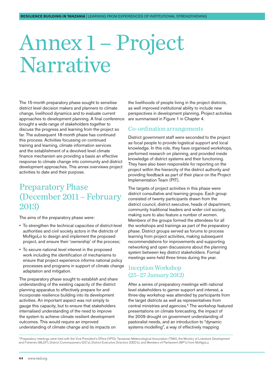### <span id="page-43-0"></span>Annex 1 – Project Narrative

The 15-month preparatory phase sought to sensitise district level decision makers and planners to climate change, livelihood dynamics and to evaluate current approaches to development planning. A final conference brought a wide range of stakeholders together to discuss the progress and learning from the project so far. The subsequent 18-month phase has continued this process. Activities focussing on continued training and learning, climate information services and the establishment of a devolved level climate finance mechanism are providing a basis an effective response to climate change into community and district development approaches. This annex overviews project activities to date and their purpose.

#### Preparatory Phase (December 2011 – February 2013)

The aims of the preparatory phase were:

- To strengthen the technical capacities of district-level authorities and civil society actors in the districts of MoNgoLo to design and implement the proposed project, and ensure their 'ownership' of the process;
- To secure national level interest in the proposed work including the identification of mechanisms to ensure that project experience informs national policy processes and programs in support of climate change adaptation and mitigation.

The preparatory phase sought to establish and share understanding of the existing capacity of the district planning apparatus to effectively prepare for and incorporate resilience building into its development activities. An important aspect was not simply to gauge this capacity, but to ensure that stakeholders internalised understanding of the need to improve the system to achieve climate resilient development outcomes. This would require an improved understanding of climate change and its impacts on

the livelihoods of people living in the project districts, as well improved institutional ability to include new perspectives in development planning. Project activities are summarised in Figure 1 in Chapter 4.

#### Co-ordination arrangements

District government staff were seconded to the project as focal people to provide logistical support and local knowledge. In this role, they have organised workshops, performed research on planning, and provided inside knowledge of district systems and their functioning. They have also been responsible for reporting on the project within the hierarchy of the district authority and providing feedback as part of their place on the Project Implementation Team (PIT).

The targets of project activities in this phase were district consultative and learning groups. Each group consisted of twenty participants drawn from the district council, district executive, heads of department, community traditional leaders and wider civil society, making sure to also feature a number of women. Members of the groups formed the attendees for all the workshops and trainings as part of the preparatory phase. District groups served as forums to process learning from project activities, making subsequent recommendations for improvements and supporting networking and open discussions about the planning system between key district stakeholders. Formal meetings were held three times during the year.

#### Inception Workshop (25–27 January 2012)

After a series of preparatory meetings with national level stakeholders to garner support and interest, a three-day workshop was attended by participants from the target districts as well as representatives from central ministries and agencies.<sup>6</sup> The workshop featured presentations on climate forecasting, the impact of the 2009 drought on government understanding of pastoralist needs, and an introduction to "dynamic systems modelling", a way of effectively mapping

<sup>6</sup> Preparatory meetings were held with the Vice President's Office (VPO), Tanzanian Meteorological Association (TMA), the Ministry of Livestock Development and Fisheries (MLDF), District Commissioners (DC's), District Executive Directors (DED's), and Members of Parliament (MP's) from MoNgoLo.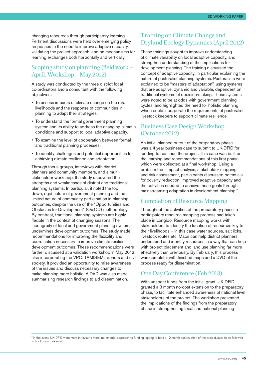changing resources through participatory learning. Pertinent discussions were held over emerging policy responses to the need to improve adaptive capacity, validating the project approach, and on mechanisms for learning exchanges both horizontally and vertically.

#### Scoping study on planning (field work – April, Workshop – May 2012)

A study was conducted by the three district focal co-ordinators and a consultant with the following objectives:

- To assess impacts of climate change on the rural livelihoods and the response of communities in planning to adapt their strategies.
- To understand the formal government planning system and its ability to address the changing climatic conditions and support to local adaptive capacity.
- To examine the level of cooperation between formal and traditional planning processes.
- To identify challenges and potential opportunities for achieving climate resilience and adaptation.

Through focus groups, interviews with district planners and community members, and a multistakeholder workshop, the study uncovered the strengths and weaknesses of district and traditional planning systems. In particular, it noted the top down, rigid nature of government planning and the limited nature of community participation in planning outcomes, despite the use of the "Opportunities and Obstacles for Development" (O&OD) methodology. By contrast, traditional planning systems are highly flexible in the context of changing seasons. The incongruity of local and government planning systems undermines development outcomes. The study made recommendations for improving the flexibility and coordination necessary to improve climate resilient development outcomes. These recommendations were further discussed at a validation workshop in May 2012, also incorporating the VPO, TAMISEMI, donors and civil society. It provided an opportunity to raise awareness of the issues and discuss necessary changes to make planning more holistic. A DVD was also made summarising research findings to aid dissemination.

#### Training on Climate Change and Dryland Ecology Dynamics (April 2012)

These trainings sought to improve understanding of climate variability on local adaptive capacity, and strengthen understanding of the implications for development planning. The training discussed the concept of adaptive capacity, in particular explaining the nature of pastoralist planning systems. Pastoralists were explained to be "masters of adaptation", using systems that are adaptive, dynamic and variable, dependent on traditional systems of decision-making. These systems were noted to be at odds with government planning cycles, and highlighted the need for holistic planning which could incorporate the requirements of pastoralist livestock keepers to support climate resilience.

#### Business Case Design Workshop (October 2012)

An initial planned output of the preparatory phase was a 4 year business case to submit to UK-DFID for funding to continue the project. This case was built on the learning and recommendations of this first phase, which were collected at a final workshop. Using a problem tree, impact analysis, stakeholder mapping and risk assessment, participants discussed potentials for poverty reduction, improved adaptive capacity and the activities needed to achieve these goals through mainstreaming adaptation in development planning.7

#### Completion of Resource Mapping

Throughout the activities of the preparatory phase, a participatory resource mapping process had taken place in Longido. Resource mapping works with stakeholders to identify the location of resources key to their livelihoods – in this case water sources, salt licks, livestock routes etc. Maps can help district planners understand and identify resources in a way that can help with project placement and land use planning far more effectively than previously. By February, this process was complete, with finished maps and a DVD of the process ready for dissemination.

#### One Day Conference (Feb 2013)

With unspent funds from the initial grant, UK-DFID granted a 3 month no-cost extension to the preparatory phase, to facilitate enhanced awareness of national level stakeholders of the project. The workshop presented the implications of the findings from the preparatory phase in strengthening local and national planning

7 In the event, UK-DFID were more in favour a more incremental approach to funding, opting to fund a 12 month continuation of the project, later to be followed with a 6 month extension.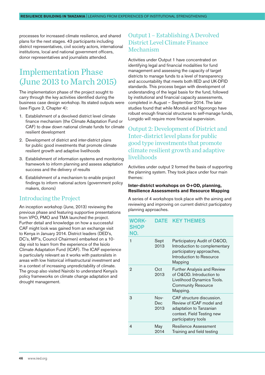processes for increased climate resilience, and shared plans for the next stages. 43 participants including district representatives, civil society actors, international institutions, local and national government officers, donor representatives and journalists attended.

#### Implementation Phase (June 2013 to March 2015)

The implementation phase of the project sought to carry through the key activities identified during the business case design workshop. Its stated outputs were (see Figure 2, Chapter 4):

- 1. Establishment of a devolved district level climate finance mechanism (the Climate Adaptation Fund or CAF) to draw down national climate funds for climate resilient development
- 2. Development of district and inter-district plans for public good investments that promote climate resilient growth and adaptive livelihoods
- 3. Establishment of information systems and monitoring framework to inform planning and assess adaptation success and the delivery of results
- 4. Establishment of a mechanism to enable project findings to inform national actors (government policy makers, donors)

#### Introducing the Project

An inception workshop (June, 2013) reviewing the previous phase and featuring supportive presentations from VPO, PMO and TMA launched the project. Further detail and knowledge on how a successful CAF might look was gained from an exchange visit to Kenya in January 2014. District leaders (DED's, DC's, MP's, Council Chairmen) embarked on a 10 day visit to learn from the experience of the Isiolo Climate Adaptation Fund (ICAF). The ICAF experience is particularly relevant as it works with pastoralists in areas with low historical infrastructural investment and in a context of increasing unpredictability of climate. The group also visited Nairobi to understand Kenya's policy frameworks on climate change adaptation and drought management.

#### Output 1 – Establishing A Devolved District Level Climate Finance Mechanism

Activities under Output 1 have concentrated on identifying legal and financial modalities for fund management and assessing the capacity of target districts to manage funds to a level of transparency and accountability that meets both IIED and UK-DFID standards. This process began with development of understanding of the legal basis for the fund, followed by institutional and financial capacity assessments, completed in August – September 2014. The later studies found that while Monduli and Ngorongo have robust enough financial structures to self-manage funds, Longido will require more financial supervision.

#### Output 2: Development of District and Inter-district level plans for public good type investments that promote climate resilient growth and adaptive livelihoods

Activities under output 2 formed the basis of supporting the planning system. They took place under four main themes:

#### **Inter-district workshops on O+OD, planning, Resilience Assessments and Resource Mapping**

A series of 4 workshops took place with the aiming and reviewing and improving on current district participatory planning approaches.

#### Work-**SHOP** No. DATE KEY THEMES 1 Sept 2013 Participatory Audit of O&OD, Introduction to complementary participatory approaches, Introduction to Resource Mapping 2 Oct 2013 Further Analysis and Review of O&OD. Introduction to Livelihood Dynamics Tools. Community Resource Mapping. 3 Nov-Dec 2013 CAF structure discussion. Review of ICAF model and adaptation to Tanzanian context. Field Testing new participatory tools 4 May 2014 Resilience Assessment Training and field testing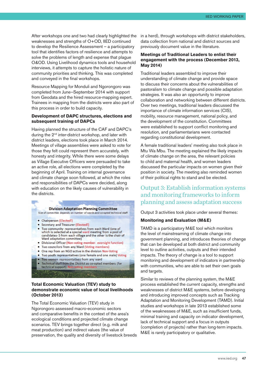After workshops one and two had clearly highlighted the weaknesses and strengths of O+OD, IIED continued to develop the Resilience Assessment – a participatory tool that identifies factors of resilience and attempts to solve the problems of length and expense that plague O&OD. Using Livelihood dynamics tools and household interviews, it attempts to capture the holistic nature of community priorities and thinking. This was completed and conveyed in the final workshops.

Resource Mapping for Monduli and Ngorongoro was completed from June–September 2014 with support from Geodata and the hired resource-mapping expert. Trainees in mapping from the districts were also part of this process in order to build capacity.

#### **Development of DAPC structures, elections and subsequent training of DAPCs**

Having planned the structure of the CAF and DAPC's during the 2<sup>nd</sup> inter-district workshop, and later with district leaders, elections took place in March 2014. Meetings of village assemblies were asked to vote for those they felt could represent them accurately, with honesty and integrity. While there were some delays as Village Executive Officers were persuaded to take an active role, all elections were completed by the beginning of April. Training on internal governance and climate change soon followed, at which the roles and responsibilities of DAPCs were decided, along with education on the likely causes of vulnerability in the districts.

#### **Division Adaptation Planning Committee**

Size of committee depends on number of wards and co-opted technical staff

- Chairperson (Elected!)
- Secretary and Treasurer (Elected!)
- . Two community representatives from each Ward (one of which is selected at a special ward meeting from a pool of candidates-5 from each village and the other is the chair of Ward adaptation committee)
- Divisional Officer (Non-voting member- oversight function)
- Two councilors from any Ward (Voting members)
- One rep from an NGO active in the division Non-Voting
- Two youth representatives (one female and one male) Voting
- Two women representatives from any ward
- Technical staff from the District as co-opted members (for technical support)

#### **Total Economic Valuation (TEV) study to demonstrate economic value of local livelihoods (October 2013)**

The Total Economic Valuation (TEV) study in Ngorongoro assessed macro-economic sectors and comparative benefits in the context of the area's ecological conditions and projected climate change scenarios. TEV brings together direct (e.g. milk and meat production) and indirect values (the value of preservation, the quality and diversity of livestock breeds in a herd), through workshops with district stakeholders, data collection from national and district sources and previously document value in the literature.

#### **Meetings of Traditional Leaders to enlist their engagement with the process (December 2013, May 2014)**

Traditional leaders assembled to improve their understanding of climate change and provide space to discuss their concerns about the vulnerabilities of pastoralism to climate change and possible adaptation strategies. It was also an opportunity to improve collaboration and networking between different districts. Over two meetings, traditional leaders discussed the importance of climate information services (CIS), mobility, resource management, national policy, and the development of the constitution. Committees were established to support conflict monitoring and resolution, and parliamentarians were contacted regarding constitutional development.

A female traditional leaders' meeting also took place in Mtu Wa Mbu. The meeting explained the likely impacts of climate change on the area, the relevant policies to child and maternal health, and women leaders discussed the particular impacts on women given their position in society. The meeting also reminded women of their political rights to stand and be elected.

#### Output 3: Establish information systems and monitoring frameworks to inform planning and assess adaptation success

Output 3 activities took place under several themes:

#### **Monitoring and Evaluation (M&E)**

TAMD is a participatory M&E tool which monitors the level of mainstreaming of climate change into government planning, and introduces theories of change that can be developed at both district and community level to outline activities, outputs and their intended impacts. The theory of change is a tool to support monitoring and development of indicators in partnership with communities, who are able to set their own goals and targets.

Similar to reviews of the planning system, the M&E process established the current capacity, strengths and weaknesses of district M&E systems, before developing and introducing improved concepts such as Tracking Adaptation and Monitoring Development (TAMD). Initial studies and workshops in late 2013 established some of the weaknesses of M&E, such as insufficient funds, minimal training and capacity on indicator development, lack of technical support and a focus in outputs (completion of projects) rather than long-term impacts. M&E is rarely participatory or qualitative.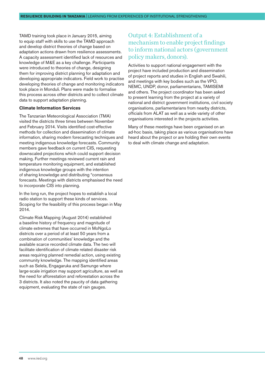TAMD training took place in January 2015, aiming to equip staff with skills to use the TAMD approach and develop district theories of change based on adaptation actions drawn from resilience assessments. A capacity assessment identified lack of resources and knowledge of M&E as a key challenge. Participants were introduced to theories of change, designing them for improving district planning for adaptation and developing appropriate indicators. Field work to practise developing theories of change and monitoring indicators took place in Monduli. Plans were made to formalise this process across other districts and to collect climate data to support adaptation planning.

#### **Climate Information Services**

The Tanzanian Meteorological Association (TMA) visited the districts three times between November and February 2014. Visits identified cost-effective methods for collection and dissemination of climate information, sharing modern forecasting techniques and meeting indigenous knowledge forecasts. Community members gave feedback on current CIS, requesting downscaled projections which could support decision making. Further meetings reviewed current rain and temperature monitoring equipment, and established indigenous knowledge groups with the intention of sharing knowledge and distributing "consensus forecasts. Meetings with districts emphasised the need to incorporate CIS into planning.

In the long run, the project hopes to establish a local radio station to support these kinds of services. Scoping for the feasibility of this process began in May 2014.

Climate Risk Mapping (August 2014) established a baseline history of frequency and magnitude of climate extremes that have occurred in MoNgoLo districts over a period of at least 50 years from a combination of communities' knowledge and the available scarce recorded climate data. The two will facilitate identification of climate related disaster risk areas requiring planned remedial action, using existing community knowledge. The mapping identified areas such as Selela, Engagaruka and Samunge where large-scale irrigation may support agriculture, as well as the need for afforestation and reforestation across the 3 districts. It also noted the paucity of data gathering equipment, evaluating the state of rain gauges.

#### Output 4: Establishment of a mechanism to enable project findings to inform national actors (government policy makers, donors).

Activities to support national engagement with the project have included production and dissemination of project reports and studies in English and Swahili, and meetings with key bodies such as the VPO, NEMC, UNDP, donor, parliamentarians, TAMISEMI and others. The project coordinator has been asked to present learning from the project at a variety of national and district government institutions, civil society organisations, parliamentarians from nearby districts, officials from ALAT as well as a wide variety of other organisations interested in the projects activities.

Many of these meetings have been organised on an ad-hoc basis, taking place as various organisations have heard about the project or are holding their own events to deal with climate change and adaptation.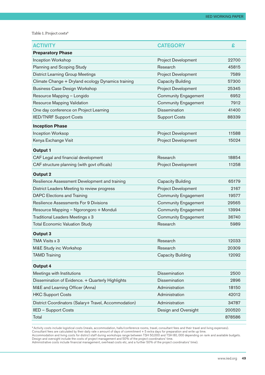Table 1. Project costs<sup>8</sup>

| <b>ACTIVITY</b>                                       | <b>CATEGORY</b>             | £      |
|-------------------------------------------------------|-----------------------------|--------|
| <b>Preparatory Phase</b>                              |                             |        |
| Inception Workshop                                    | <b>Project Development</b>  | 22700  |
| Planning and Scoping Study                            | Research                    | 45815  |
| <b>District Learning Group Meetings</b>               | <b>Project Development</b>  | 7589   |
| Climate Change + Dryland ecology Dynamics training    | <b>Capacity Building</b>    | 57300  |
| <b>Business Case Design Workshop</b>                  | <b>Project Development</b>  | 25345  |
| Resource Mapping - Longido                            | <b>Community Engagement</b> | 6952   |
| Resource Mapping Validation                           | <b>Community Engagement</b> | 7912   |
| One day conference on Project Learning                | <b>Dissemination</b>        | 41400  |
| <b>IIED/TNRF Support Costs</b>                        | <b>Support Costs</b>        | 88339  |
| <b>Inception Phase</b>                                |                             |        |
| <b>Inception Worksop</b>                              | <b>Project Development</b>  | 11588  |
| Kenya Exchange Visit                                  | <b>Project Development</b>  | 15024  |
| <b>Output 1</b>                                       |                             |        |
| CAF Legal and financial development                   | Research                    | 18854  |
| CAF structure planning (with govt officals)           | <b>Project Development</b>  | 11258  |
| <b>Output 2</b>                                       |                             |        |
| Resilience Assessment Development and training        | <b>Capacity Building</b>    | 65179  |
| District Leaders Meeting to review progress           | <b>Project Development</b>  | 2167   |
| <b>DAPC Elections and Training</b>                    | <b>Community Engagement</b> | 19577  |
| Resilience Assessments For 9 Divisions                | <b>Community Engagement</b> | 29565  |
| Resource Mapping - Ngorongoro + Monduli               | <b>Community Engagement</b> | 13994  |
| Traditional Leaders Meetings x 3                      | <b>Community Engagement</b> | 36740  |
| <b>Total Economic Valuation Study</b>                 | Research                    | 5989   |
| Output 3                                              |                             |        |
| TMA Visits x 3                                        | Research                    | 12033  |
| M&E Study inc Workshop                                | Research                    | 20309  |
| <b>TAMD Training</b>                                  | <b>Capacity Building</b>    | 12092  |
| Output 4                                              |                             |        |
| Meetings with Institutions                            | <b>Dissemination</b>        | 2500   |
| Dissemination of Evidence. + Quarterly Highlights     | <b>Dissemination</b>        | 2896   |
| M&E and Learning Officer (Anna)                       | Administration              | 18150  |
| <b>HKC Support Costs</b>                              | Administration              | 42012  |
| District Coordinators (Salary+ Travel, Accommodation) | Administration              | 34787  |
| IIED - Support Costs                                  | Design and Oversight        | 200520 |
| Total                                                 |                             | 878586 |

8 Activity costs include logistical costs (meals, accommodation, halls/conference rooms, travel, consultant fees and their travel and living expenses). Consultant fees are calculated by their daily rate x amount of days of commitment + 5 extra days for preparation and write up time.

Accommodation and living costs for district staff during workshops range between TSH 50,000 and TSH 80, 000 depending on rank and available budgets. Design and oversight include the costs of project management and 50% of the project coordinators' time.

Administrative costs include financial management, overhead costs etc, and a further 50% of the project coordinators' time).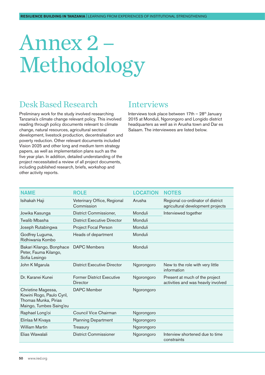## <span id="page-49-0"></span>Annex 2 – Methodology

#### Desk Based Research

Preliminary work for the study involved researching Tanzania's climate change relevant policy. This involved reading through policy documents relevant to climate change, natural resources, agricultural sectoral development, livestock production, decentralisation and poverty reduction. Other relevant documents included Vision 2025 and other long and medium term strategy papers, as well as implementation plans such as the five year plan. In addition, detailed understanding of the project necessitated a review of all project documents, including published research, briefs, workshop and other activity reports.

#### **Interviews**

Interviews took place between  $17th - 28<sup>th</sup>$  January 2015 at Monduli, Ngorongoro and Longido district headquarters as well as in Arusha town and Dar es Salaam. The interviewees are listed below.

| <b>NAME</b>                                                                                        | <b>ROLE</b>                                         | <b>LOCATION</b> | <b>NOTES</b>                                                           |
|----------------------------------------------------------------------------------------------------|-----------------------------------------------------|-----------------|------------------------------------------------------------------------|
| Isihakah Haji                                                                                      | Veterinary Office, Regional<br>Commission           | Arusha          | Regional co-ordinator of district<br>agricultural development projects |
| Jowika Kasunga                                                                                     | District Commissioner,                              | Monduli         | Interviewed together                                                   |
| Twalib Mbasha                                                                                      | <b>District Executive Director</b>                  | Monduli         |                                                                        |
| Joseph Rutabingwa                                                                                  | Project Focal Person                                | Monduli         |                                                                        |
| Godfrey Luguma,<br>Ridhiwania Kombo                                                                | Heads of department                                 | Monduli         |                                                                        |
| Bakari Kilango, Bonphace<br>Peter, Fauma Kilango,<br>Sofia Lesingo                                 | <b>DAPC Members</b>                                 | Monduli         |                                                                        |
| John K Mgarula                                                                                     | <b>District Executive Director</b>                  | Ngorongoro      | New to the role with very little<br>information                        |
| Dr. Karanei Kunei                                                                                  | <b>Former District Executive</b><br><b>Director</b> | Ngorongoro      | Present at much of the project<br>activities and was heavily involved  |
| Chrietine Magessa,<br>Kowini Rogo, Paulo Cyril,<br>Thomas Munka, Pirias<br>Maingo, Tumbes Saing'eu | <b>DAPC</b> Member                                  | Ngorongoro      |                                                                        |
| Raphael Long'oi                                                                                    | Council Vice Chairman                               | Ngorongoro      |                                                                        |
| Elinlaa M Kivaya                                                                                   | <b>Planning Department</b>                          | Ngorongoro      |                                                                        |
| <b>William Martin</b>                                                                              | Treasury                                            | Ngorongoro      |                                                                        |
| Elias Wawalali                                                                                     | District Commissioner                               | Ngorongoro      | Interview shortened due to time<br>constraints                         |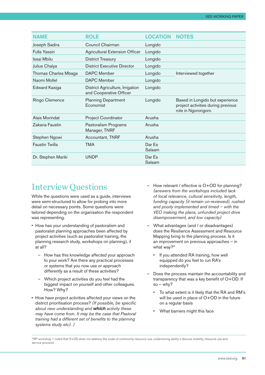| <b>NAME</b>           | <b>ROLE</b>                                                 | <b>LOCATION</b>  | <b>NOTES</b>                                                                                |
|-----------------------|-------------------------------------------------------------|------------------|---------------------------------------------------------------------------------------------|
| Joseph Sadira         | Council Chairman                                            | Longido          |                                                                                             |
| Fulla Yassin          | <b>Agricultural Extension Officer</b>                       | Longido          |                                                                                             |
| Issai Mbilu           | <b>District Treasury</b>                                    | Longido          |                                                                                             |
| Julius Chalya         | <b>District Executive Director</b>                          | Longido          |                                                                                             |
| Thomas Charles Mbaga  | <b>DAPC Member</b>                                          | Longido          | Interviewed together                                                                        |
| Naomi Mollel          | <b>DAPC</b> Member                                          | Longido          |                                                                                             |
| Edward Kasiga         | District Agriculture, Irrigation<br>and Cooperative Officer | Longido          |                                                                                             |
| Ringo Clemence        | <b>Planning Department</b><br>Economist                     | Longido          | Based in Longido but experience<br>project activities during previous<br>role in Ngorongoro |
| Alais Morindat        | <b>Project Coordinator</b>                                  | Arusha           |                                                                                             |
| Zakaria Faustin       | Pastoralism Programs<br>Manager, TNRF                       | Arusha           |                                                                                             |
| Stephen Ngowi         | Accountant, TNRF                                            | Arusha           |                                                                                             |
| <b>Faustin Twilla</b> | <b>TMA</b>                                                  | Dar Es<br>Salaam |                                                                                             |
| Dr. Stephen Mariki    | <b>UNDP</b>                                                 | Dar Es<br>Salaam |                                                                                             |

#### Interview Questions

While the questions were used as a guide, interviews were semi-structured to allow for probing into more detail on necessary points. Some questions were tailored depending on the organisation the respondent was representing.

- How has your understanding of pastoralism and pastoralist planning approaches been affected by project activities (such as pastoralist training, the planning research study, workshops on planning), if at all?
	- How has this knowledge affected your approach to your work? Are there any practical processes or systems that you now use or approach differently as a result of these activities?
	- Which project activities do you feel had the biggest impact on yourself and other colleagues. How? Why?
- How have project activities affected your views on the district prioritisation process? *(If possible, be specific about new understanding and which activity these may have come from. It may be the case that Pastoral training had a different set of benefits to the planning systems study etc). )*
- How relevant / effective is O+OD for planning? *(answers from the workshops included lack of local relevance, cultural sensitivity, length, funding capacity (it remain un-reviewed), rushed and poorly implemented and timed – with the VEO making the plans, unfunded project drive disempowerment, and low capacity)*
- What advantages (and / or disadvantages) does the Resilience Assessment and Resource Mapping bring to the planning process. Is it an improvement on previous approaches – in what way?<sup>9</sup>
	- If you attended RA training, how well equipped do you feel to run RA's independently?
- Does the process maintain the accountability and transparency that was a key benefit of O+OD. If  $so - whv?$ 
	- To what extent is it likely that the RA and RM's will be used in place of O+OD in the future on a regular basis
	- What barriers might this face

<sup>9</sup> RP workshop 1 noted that O+OD does not address the scale of community resource use, undermining ability o discuss mobility, resource use and service provision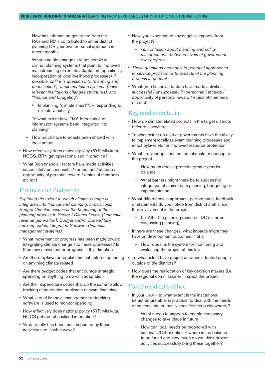- How has information generated from the RA's and RM's contributed to either district planning OR your own personal approach in recent months
- What tangible changes are noticeable in district planning systems that point to improved mainstreaming of climate adaptation (specifically, incorporation of local livelihood processes) *If possible, split this question into "planning and prioritisation", "implementation systems (have relevant institutions changes structures), and "finance and budgeting".* 
	- Is planning "climate smart"? responding to climate variability
- To what extent have TMA forecasts and information systems been integrated into planning?
- How much have forecasts been shared with local actors
- How effectively does national policy (5YP, Mkukuta, NCCS, BRN get operationalised in practice?
- What (non financial) factors have made activities successful / unsuccessful? (personnel / attitude / opportunity of personal reward / ethics of members etc etc)

#### Finance and Budgeting

*Exploring the extent to which climate change is integrated into finance and planning. In particular, Budget Circulars issues at the beginning of the planning process to Sector / District Levels (Domestic revenue generation), Budget and/or Expenditure tracking codes, Integrated Software (financial management systems).* 

- What movement or progress has been made toward integrating climate change into these processes? Is there any movement or progress in this direction
- Are there by-laws or regulations that enforce spending on anything climate related
- Are there budget codes that encourage strategic spending on anything to do with adaptation
- Are their expenditure codes that do the same to allow tracking of adaptation or climate relevant financing
- What kind of financial management or tracking software is used to monitor spending
- How effectively does national policy (5YP, Mkukuta, NCCS get operationalised in practice?
- Who exactly has been most impacted by these activities and in what ways?
- Have you experienced any negative impacts from the project?
	- *i.e. confusion about planning and policy, disagreements between levels of government over progress,*
- *These questions can apply to personal approaches to service provision or to aspects of the planning process in general*
- What (non financial) factors have made activities successful / unsuccessful? (personnel / attitude / opportunity of personal reward / ethics of members etc etc)

#### Regional Secretariat

- How do climate related projects in the target districts differ to elsewhere
- To what extent do district governments have the ability to implement locally relevant planning processes and enact bylaws etc for improved resource protection.
- What are your opinions on the rationale or concept of the project
	- How much does it promote greater gender balance
	- What barriers might there be to successful integration of mainstream planning, budgeting or implementation
- What differences in approach, performance, feedback or statements do you notice from district staff since their involvement in the project
	- (Ie. After the planning research, DC's started discussing planning)
- If there are these changes, what impacts might they have on development outcomes, if at all
	- How robust is the system for monitoring and evaluating the project at this level
- To what extent have project activities affected people outside of the districts?
- How does the reallocation of key decision makers (i.e. the regional commissioner ) impact the project

#### Vice President's Office

- In your view to what extent is the institutional infrastructure able, in practice, to deal with the needs of pastoralists (or locally specific needs elsewhere)?
	- What needs to happen to enable necessary changes to take place in future
	- How can local needs be reconciled with national CCS priorities – where is the balance to be found and how much do you think project activities successfully bring these together?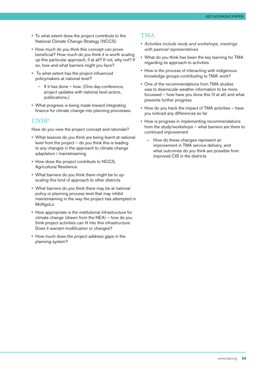- To what extent does the project contribute to the National Climate Change Strategy (NCCS)
- How much do you think this concept can prove beneficial? How much do you think it is worth scaling up this particular approach, if at all? If not, why not? If so, how and what barriers might you face?
- To what extent has the project influenced policymakers at national level?
	- If it has done how. (One day-conference, project updates with national level actors, publications,)
- What progress is being made toward integrating finance for climate change into planning processes.

#### UNDP

How do you view the project concept and rationale?

- What lessons do you think are being learnt at national level from the project – do you think this is leading to any changes in the approach to climate change adaptation / mainstreaming
- How does the project contribute to NCCS, Agricultural Resilience
- What barriers do you think there might be to upscaling this kind of approach to other districts
- What barriers do you think there may be at national policy or planning process level that may inhibit mainstreaming in the way the project has attempted in MoNgoLo
- How appropriate is the institutional infrastructure for climate change (drawn from the NEA) – how do you think project activities can fit into this infrastructure. Does it warrant modification or changes?
- How much does the project address gaps in the planning system?

#### TMA

- *Activities include study and workshops, meetings with pastoral representatives*
- What do you think has been the key learning for TMA regarding its approach to activities
- How is the process of interacting with indigenous knowledge groups contributing to TMA' work?
- One of the recommendations from TMA studies was to downscale weather information to be more focussed – how have you done this (if at all) and what prevents further progress
- How do you track the impact of TMA activities have you noticed any differences so far
- How is progress in implementing recommendations from the study/workshops – what barriers are there to continued improvement
	- How do these changes represent an improvement in TMA service delivery, and what outcomes do you think are possible from improved CIS in the districts